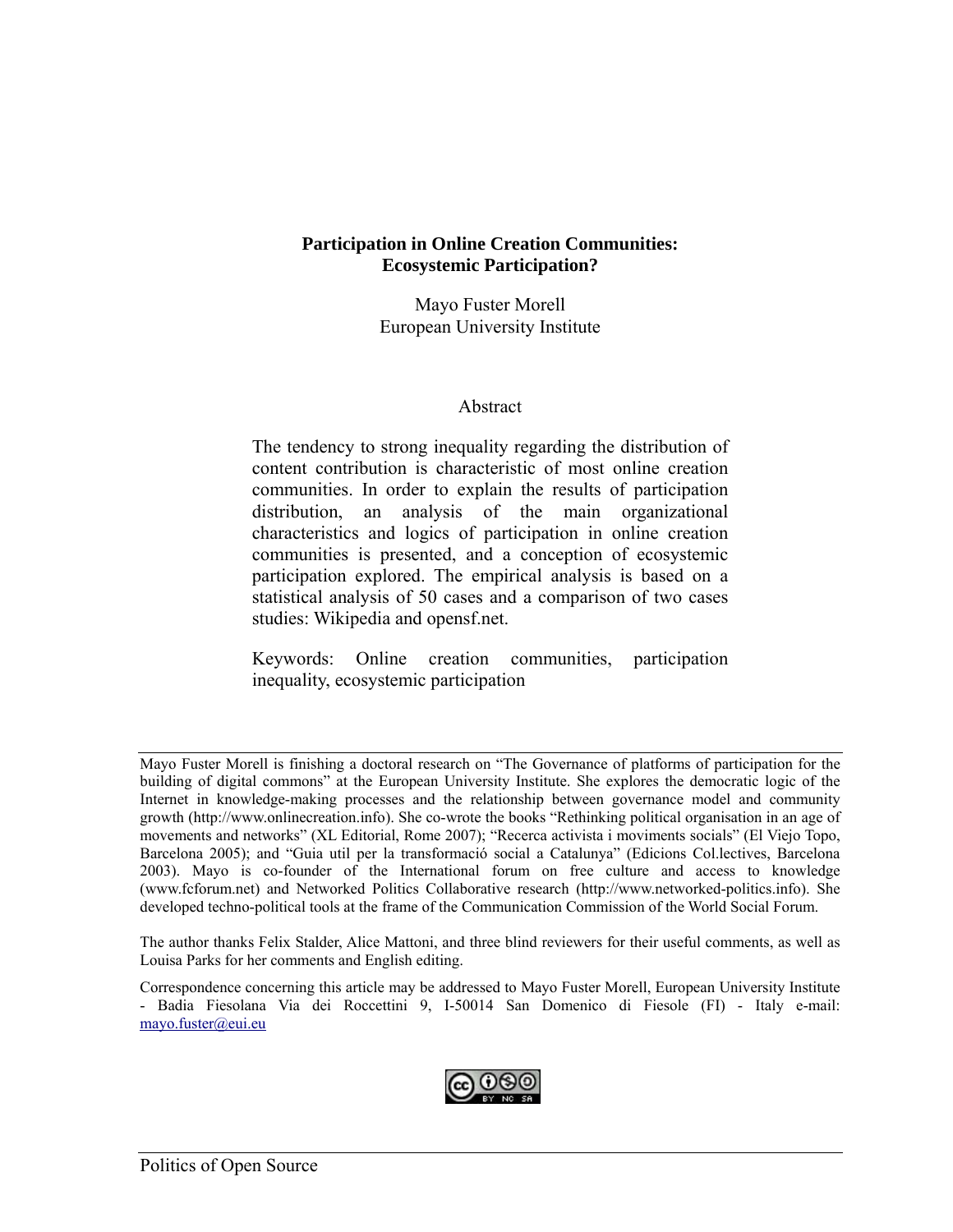#### **Participation in Online Creation Communities: Ecosystemic Participation?**

Mayo Fuster Morell European University Institute

#### Abstract

The tendency to strong inequality regarding the distribution of content contribution is characteristic of most online creation communities. In order to explain the results of participation distribution, an analysis of the main organizational characteristics and logics of participation in online creation communities is presented, and a conception of ecosystemic participation explored. The empirical analysis is based on a statistical analysis of 50 cases and a comparison of two cases studies: Wikipedia and opensf.net.

Keywords: Online creation communities, participation inequality, ecosystemic participation

Correspondence concerning this article may be addressed to Mayo Fuster Morell, European University Institute - Badia Fiesolana Via dei Roccettini 9, I-50014 San Domenico di Fiesole (FI) - Italy e-mail: mayo.fuster@eui.eu



Mayo Fuster Morell is finishing a doctoral research on "The Governance of platforms of participation for the building of digital commons" at the European University Institute. She explores the democratic logic of the Internet in knowledge-making processes and the relationship between governance model and community growth (http://www.onlinecreation.info). She co-wrote the books "Rethinking political organisation in an age of movements and networks" (XL Editorial, Rome 2007); "Recerca activista i moviments socials" (El Viejo Topo, Barcelona 2005); and "Guia util per la transformació social a Catalunya" (Edicions Col.lectives, Barcelona 2003). Mayo is co-founder of the International forum on free culture and access to knowledge (www.fcforum.net) and Networked Politics Collaborative research (http://www.networked-politics.info). She developed techno-political tools at the frame of the Communication Commission of the World Social Forum.

The author thanks Felix Stalder, Alice Mattoni, and three blind reviewers for their useful comments, as well as Louisa Parks for her comments and English editing.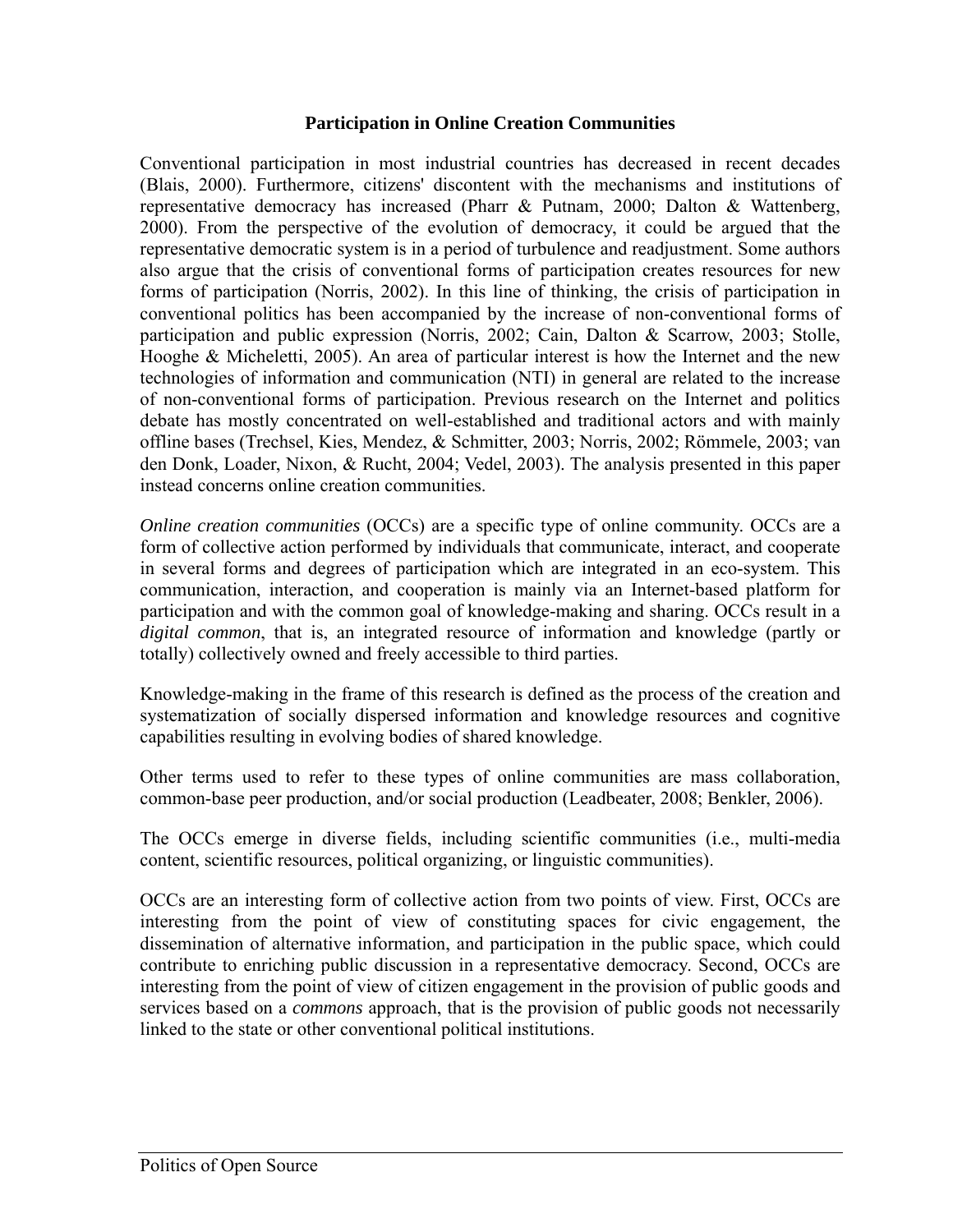#### **Participation in Online Creation Communities**

Conventional participation in most industrial countries has decreased in recent decades (Blais, 2000). Furthermore, citizens' discontent with the mechanisms and institutions of representative democracy has increased (Pharr & Putnam, 2000; Dalton & Wattenberg, 2000). From the perspective of the evolution of democracy, it could be argued that the representative democratic system is in a period of turbulence and readjustment. Some authors also argue that the crisis of conventional forms of participation creates resources for new forms of participation (Norris, 2002). In this line of thinking, the crisis of participation in conventional politics has been accompanied by the increase of non-conventional forms of participation and public expression (Norris, 2002; Cain, Dalton & Scarrow, 2003; Stolle, Hooghe & Micheletti, 2005). An area of particular interest is how the Internet and the new technologies of information and communication (NTI) in general are related to the increase of non-conventional forms of participation. Previous research on the Internet and politics debate has mostly concentrated on well-established and traditional actors and with mainly offline bases (Trechsel, Kies, Mendez, & Schmitter, 2003; Norris, 2002; Römmele, 2003; van den Donk, Loader, Nixon, & Rucht, 2004; Vedel, 2003). The analysis presented in this paper instead concerns online creation communities.

*Online creation communities (OCCs)* are a specific type of online community. OCCs are a form of collective action performed by individuals that communicate, interact, and cooperate in several forms and degrees of participation which are integrated in an eco-system. This communication, interaction, and cooperation is mainly via an Internet-based platform for participation and with the common goal of knowledge-making and sharing. OCCs result in a *digital common*, that is, an integrated resource of information and knowledge (partly or totally) collectively owned and freely accessible to third parties.

Knowledge-making in the frame of this research is defined as the process of the creation and systematization of socially dispersed information and knowledge resources and cognitive capabilities resulting in evolving bodies of shared knowledge.

Other terms used to refer to these types of online communities are mass collaboration, common-base peer production, and/or social production (Leadbeater, 2008; Benkler, 2006).

The OCCs emerge in diverse fields, including scientific communities (i.e., multi-media content, scientific resources, political organizing, or linguistic communities).

OCCs are an interesting form of collective action from two points of view. First, OCCs are interesting from the point of view of constituting spaces for civic engagement, the dissemination of alternative information, and participation in the public space, which could contribute to enriching public discussion in a representative democracy. Second, OCCs are interesting from the point of view of citizen engagement in the provision of public goods and services based on a *commons* approach, that is the provision of public goods not necessarily linked to the state or other conventional political institutions.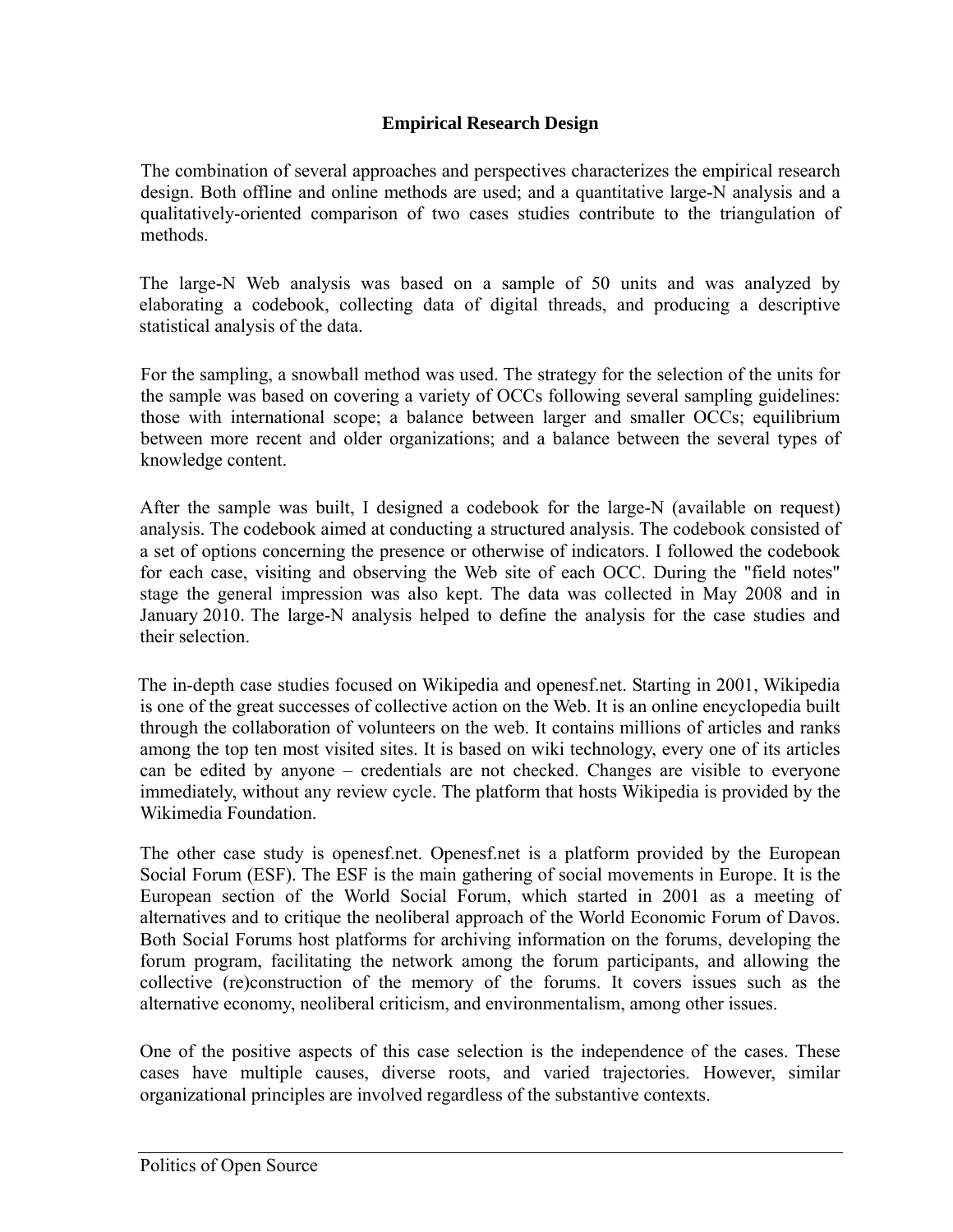# **Empirical Research Design**

The combination of several approaches and perspectives characterizes the empirical research design. Both offline and online methods are used; and a quantitative large-N analysis and a qualitatively-oriented comparison of two cases studies contribute to the triangulation of methods.

The large-N Web analysis was based on a sample of 50 units and was analyzed by elaborating a codebook, collecting data of digital threads, and producing a descriptive statistical analysis of the data.

For the sampling, a snowball method was used. The strategy for the selection of the units for the sample was based on covering a variety of OCCs following several sampling guidelines: those with international scope; a balance between larger and smaller OCCs; equilibrium between more recent and older organizations; and a balance between the several types of knowledge content.

 After the sample was built, I designed a codebook for the large-N (available on request) analysis. The codebook aimed at conducting a structured analysis. The codebook consisted of a set of options concerning the presence or otherwise of indicators. I followed the codebook for each case, visiting and observing the Web site of each OCC. During the "field notes" stage the general impression was also kept. The data was collected in May 2008 and in January 2010. The large-N analysis helped to define the analysis for the case studies and their selection.

The in-depth case studies focused on Wikipedia and openesf.net. Starting in 2001, Wikipedia is one of the great successes of collective action on the Web. It is an online encyclopedia built through the collaboration of volunteers on the web. It contains millions of articles and ranks among the top ten most visited sites. It is based on wiki technology, every one of its articles can be edited by anyone – credentials are not checked. Changes are visible to everyone immediately, without any review cycle. The platform that hosts Wikipedia is provided by the Wikimedia Foundation.

The other case study is openesf.net. Openesf.net is a platform provided by the European Social Forum (ESF). The ESF is the main gathering of social movements in Europe. It is the European section of the World Social Forum, which started in 2001 as a meeting of alternatives and to critique the neoliberal approach of the World Economic Forum of Davos. Both Social Forums host platforms for archiving information on the forums, developing the forum program, facilitating the network among the forum participants, and allowing the collective (re)construction of the memory of the forums. It covers issues such as the alternative economy, neoliberal criticism, and environmentalism, among other issues.

One of the positive aspects of this case selection is the independence of the cases. These cases have multiple causes, diverse roots, and varied trajectories. However, similar organizational principles are involved regardless of the substantive contexts.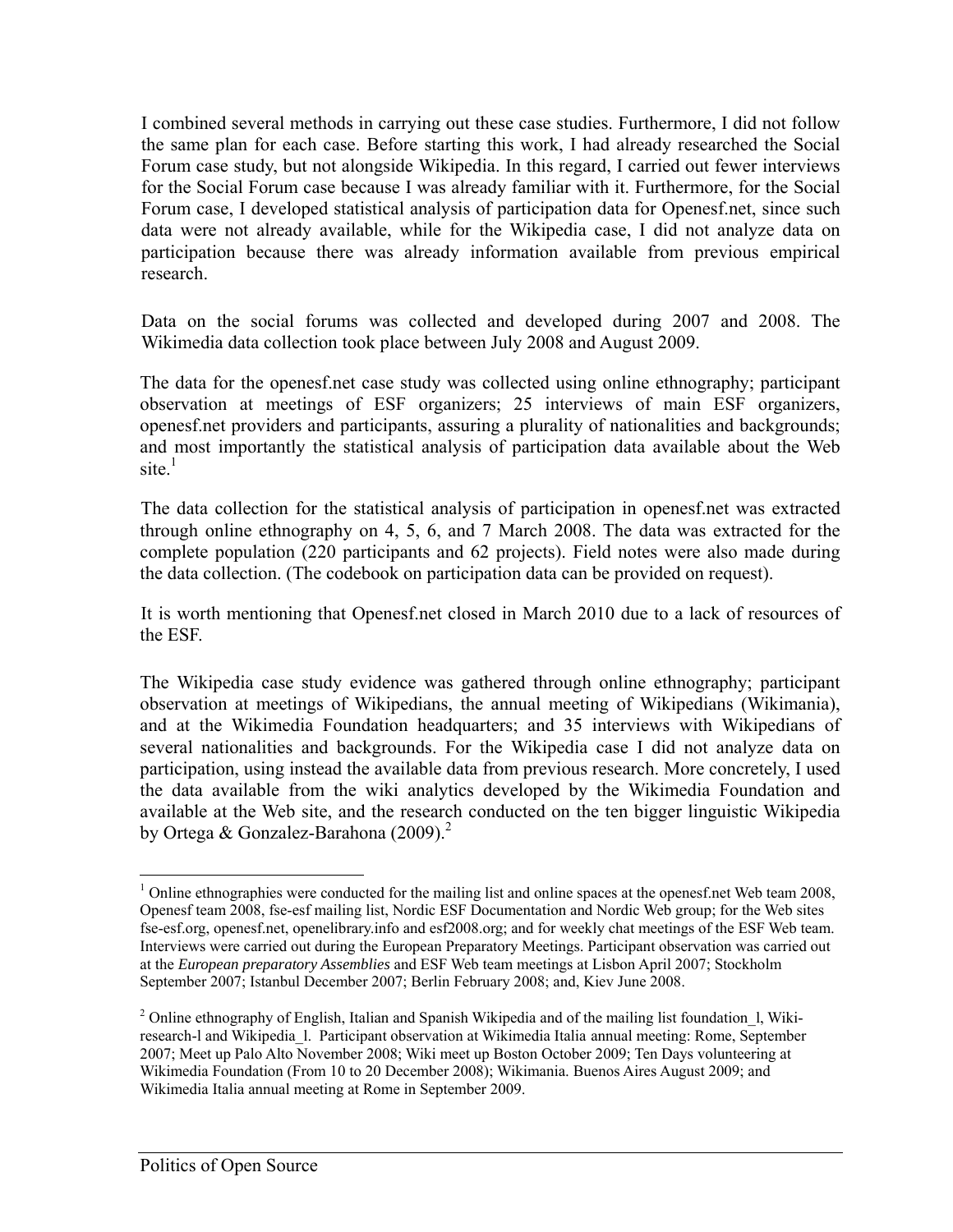I combined several methods in carrying out these case studies. Furthermore, I did not follow the same plan for each case. Before starting this work, I had already researched the Social Forum case study, but not alongside Wikipedia. In this regard, I carried out fewer interviews for the Social Forum case because I was already familiar with it. Furthermore, for the Social Forum case, I developed statistical analysis of participation data for Openesf.net, since such data were not already available, while for the Wikipedia case, I did not analyze data on participation because there was already information available from previous empirical research.

Data on the social forums was collected and developed during 2007 and 2008. The Wikimedia data collection took place between July 2008 and August 2009.

The data for the openesf.net case study was collected using online ethnography; participant observation at meetings of ESF organizers; 25 interviews of main ESF organizers, openesf.net providers and participants, assuring a plurality of nationalities and backgrounds; and most importantly the statistical analysis of participation data available about the Web site $\frac{1}{1}$ 

 The data collection for the statistical analysis of participation in openesf.net was extracted through online ethnography on 4, 5, 6, and 7 March 2008. The data was extracted for the complete population (220 participants and 62 projects). Field notes were also made during the data collection. (The codebook on participation data can be provided on request).

 It is worth mentioning that Openesf.net closed in March 2010 due to a lack of resources of the ESF.

The Wikipedia case study evidence was gathered through online ethnography; participant observation at meetings of Wikipedians, the annual meeting of Wikipedians (Wikimania), and at the Wikimedia Foundation headquarters; and 35 interviews with Wikipedians of several nationalities and backgrounds. For the Wikipedia case I did not analyze data on participation, using instead the available data from previous research. More concretely, I used the data available from the wiki analytics developed by the Wikimedia Foundation and available at the Web site, and the research conducted on the ten bigger linguistic Wikipedia by Ortega & Gonzalez-Barahona  $(2009)$ <sup>2</sup>

 $\overline{a}$  $1$  Online ethnographies were conducted for the mailing list and online spaces at the openesf.net Web team 2008, Openesf team 2008, fse-esf mailing list, Nordic ESF Documentation and Nordic Web group; for the Web sites fse-esf.org, openesf.net, openelibrary.info and esf2008.org; and for weekly chat meetings of the ESF Web team. Interviews were carried out during the European Preparatory Meetings. Participant observation was carried out at the *European preparatory Assemblies* and ESF Web team meetings at Lisbon April 2007; Stockholm September 2007; Istanbul December 2007; Berlin February 2008; and, Kiev June 2008.

<sup>&</sup>lt;sup>2</sup> Online ethnography of English, Italian and Spanish Wikipedia and of the mailing list foundation 1, Wikiresearch-l and Wikipedia\_l. Participant observation at Wikimedia Italia annual meeting: Rome, September 2007; Meet up Palo Alto November 2008; Wiki meet up Boston October 2009; Ten Days volunteering at Wikimedia Foundation (From 10 to 20 December 2008); Wikimania. Buenos Aires August 2009; and Wikimedia Italia annual meeting at Rome in September 2009.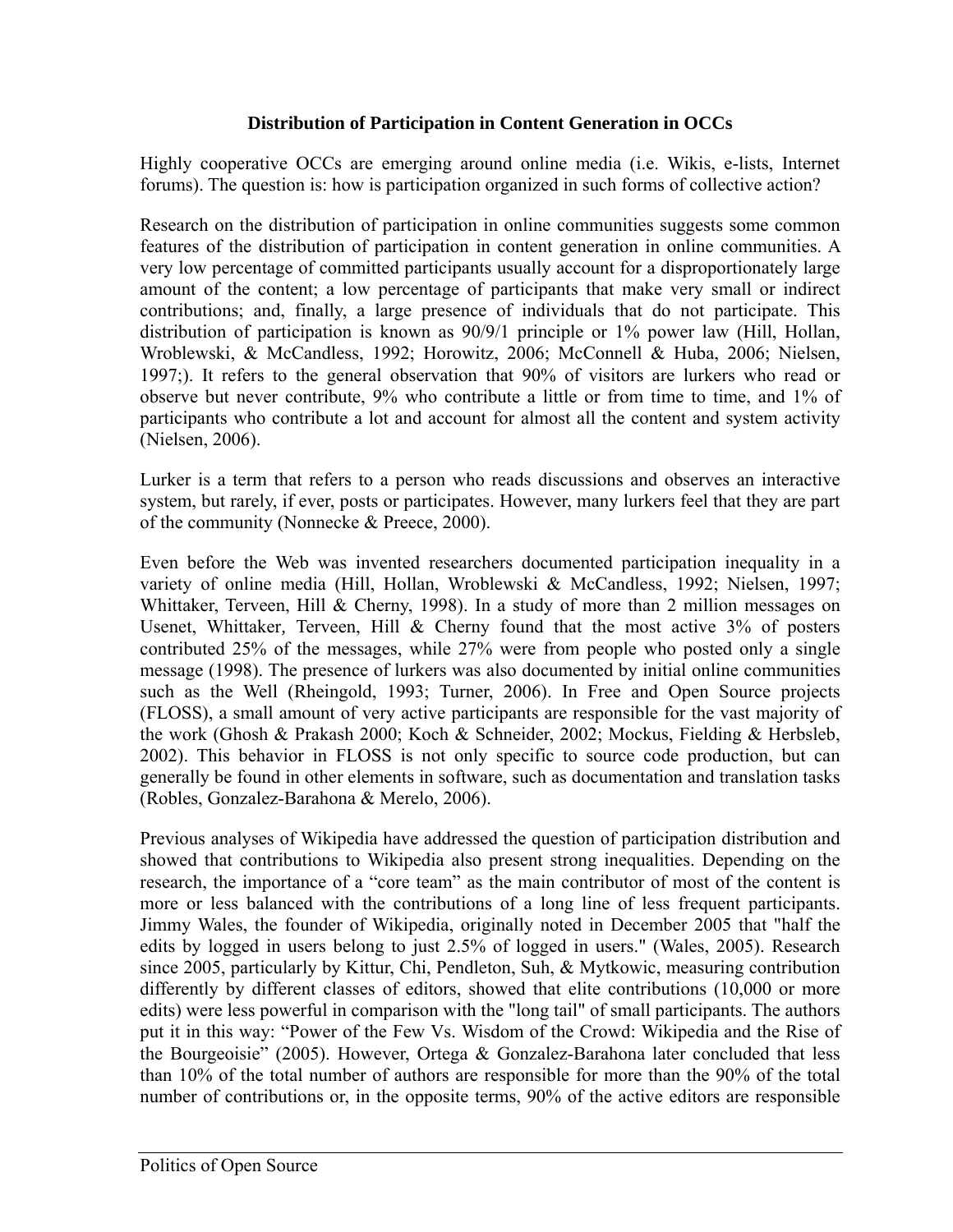#### **Distribution of Participation in Content Generation in OCCs**

Highly cooperative OCCs are emerging around online media (i.e. Wikis, e-lists, Internet forums). The question is: how is participation organized in such forms of collective action?

Research on the distribution of participation in online communities suggests some common features of the distribution of participation in content generation in online communities. A very low percentage of committed participants usually account for a disproportionately large amount of the content; a low percentage of participants that make very small or indirect contributions; and, finally, a large presence of individuals that do not participate. This distribution of participation is known as 90/9/1 principle or 1% power law (Hill, Hollan, Wroblewski, & McCandless, 1992; Horowitz, 2006; McConnell & Huba, 2006; Nielsen, 1997;). It refers to the general observation that 90% of visitors are lurkers who read or observe but never contribute, 9% who contribute a little or from time to time, and 1% of participants who contribute a lot and account for almost all the content and system activity (Nielsen, 2006).

Lurker is a term that refers to a person who reads discussions and observes an interactive system, but rarely, if ever, posts or participates. However, many lurkers feel that they are part of the community (Nonnecke & Preece, 2000).

Even before the Web was invented researchers documented participation inequality in a variety of online media (Hill, Hollan, Wroblewski & McCandless, 1992; Nielsen, 1997; Whittaker, Terveen, Hill & Cherny, 1998). In a study of more than 2 million messages on Usenet, Whittaker*,* Terveen, Hill & Cherny found that the most active 3% of posters contributed 25% of the messages, while 27% were from people who posted only a single message (1998). The presence of lurkers was also documented by initial online communities such as the Well (Rheingold, 1993; Turner, 2006). In Free and Open Source projects (FLOSS), a small amount of very active participants are responsible for the vast majority of the work (Ghosh & Prakash 2000; Koch & Schneider, 2002; Mockus, Fielding & Herbsleb, 2002). This behavior in FLOSS is not only specific to source code production, but can generally be found in other elements in software, such as documentation and translation tasks (Robles, Gonzalez-Barahona & Merelo, 2006).

Previous analyses of Wikipedia have addressed the question of participation distribution and showed that contributions to Wikipedia also present strong inequalities. Depending on the research, the importance of a "core team" as the main contributor of most of the content is more or less balanced with the contributions of a long line of less frequent participants. Jimmy Wales, the founder of Wikipedia, originally noted in December 2005 that "half the edits by logged in users belong to just 2.5% of logged in users." (Wales, 2005). Research since 2005, particularly by Kittur, Chi, Pendleton, Suh, & Mytkowic, measuring contribution differently by different classes of editors, showed that elite contributions (10,000 or more edits) were less powerful in comparison with the "long tail" of small participants. The authors put it in this way: "Power of the Few Vs. Wisdom of the Crowd: Wikipedia and the Rise of the Bourgeoisie" (2005). However, Ortega & Gonzalez-Barahona later concluded that less than 10% of the total number of authors are responsible for more than the 90% of the total number of contributions or, in the opposite terms, 90% of the active editors are responsible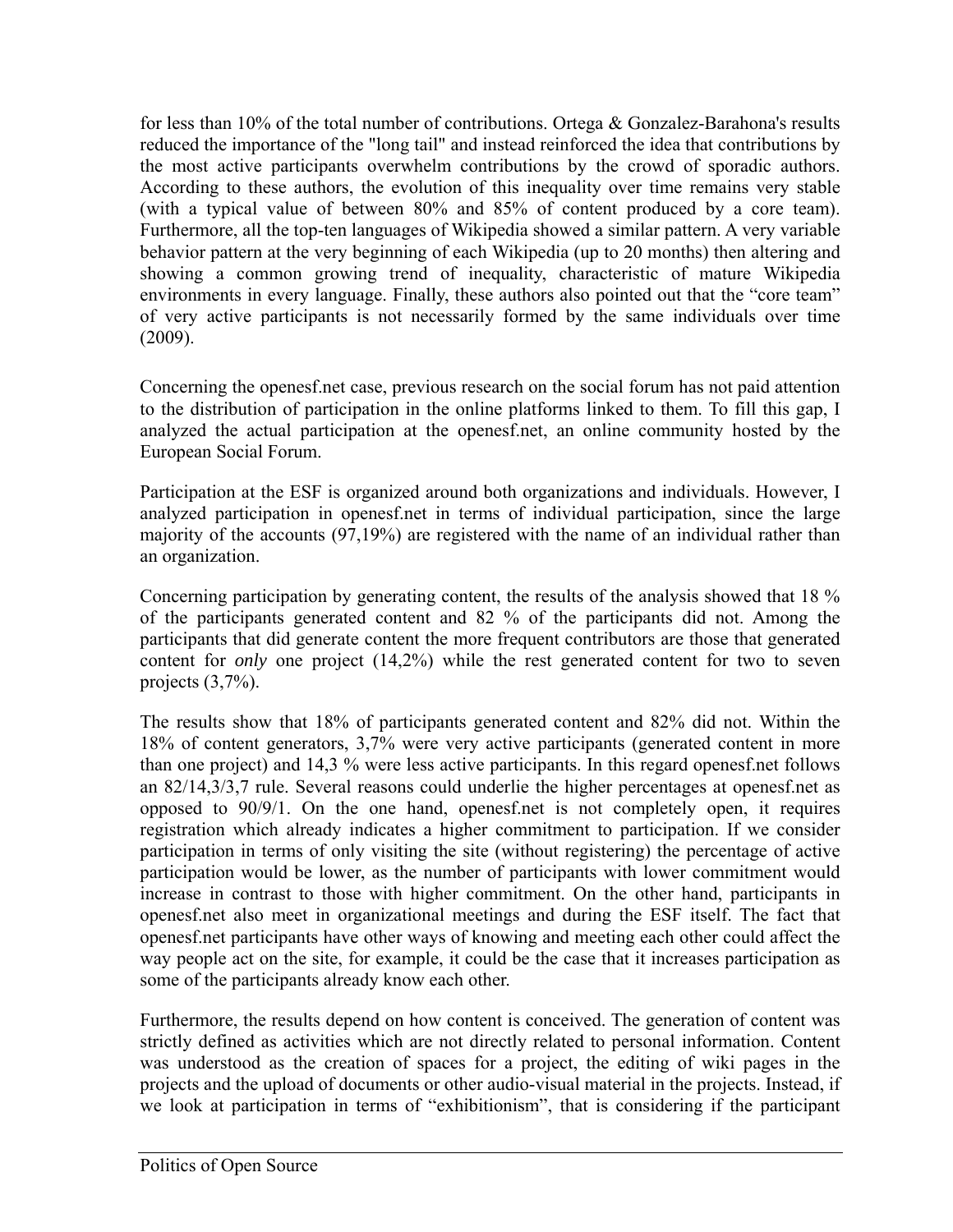for less than 10% of the total number of contributions. Ortega & Gonzalez-Barahona's results reduced the importance of the "long tail" and instead reinforced the idea that contributions by the most active participants overwhelm contributions by the crowd of sporadic authors. According to these authors, the evolution of this inequality over time remains very stable (with a typical value of between 80% and 85% of content produced by a core team). Furthermore, all the top-ten languages of Wikipedia showed a similar pattern. A very variable behavior pattern at the very beginning of each Wikipedia (up to 20 months) then altering and showing a common growing trend of inequality, characteristic of mature Wikipedia environments in every language. Finally, these authors also pointed out that the "core team" of very active participants is not necessarily formed by the same individuals over time (2009).

Concerning the openesf.net case, previous research on the social forum has not paid attention to the distribution of participation in the online platforms linked to them. To fill this gap, I analyzed the actual participation at the openesf.net, an online community hosted by the European Social Forum.

Participation at the ESF is organized around both organizations and individuals. However, I analyzed participation in openesf.net in terms of individual participation, since the large majority of the accounts (97,19%) are registered with the name of an individual rather than an organization.

Concerning participation by generating content, the results of the analysis showed that 18 % of the participants generated content and 82 % of the participants did not. Among the participants that did generate content the more frequent contributors are those that generated content for *only* one project (14,2%) while the rest generated content for two to seven projects (3,7%).

The results show that 18% of participants generated content and 82% did not. Within the 18% of content generators, 3,7% were very active participants (generated content in more than one project) and 14,3 % were less active participants. In this regard openesf.net follows an 82/14,3/3,7 rule. Several reasons could underlie the higher percentages at openesf.net as opposed to  $90/9/1$ . On the one hand, openesfinet is not completely open, it requires registration which already indicates a higher commitment to participation. If we consider participation in terms of only visiting the site (without registering) the percentage of active participation would be lower, as the number of participants with lower commitment would increase in contrast to those with higher commitment. On the other hand, participants in openesf.net also meet in organizational meetings and during the ESF itself. The fact that openesf.net participants have other ways of knowing and meeting each other could affect the way people act on the site, for example, it could be the case that it increases participation as some of the participants already know each other.

Furthermore, the results depend on how content is conceived. The generation of content was strictly defined as activities which are not directly related to personal information. Content was understood as the creation of spaces for a project, the editing of wiki pages in the projects and the upload of documents or other audio-visual material in the projects. Instead, if we look at participation in terms of "exhibitionism", that is considering if the participant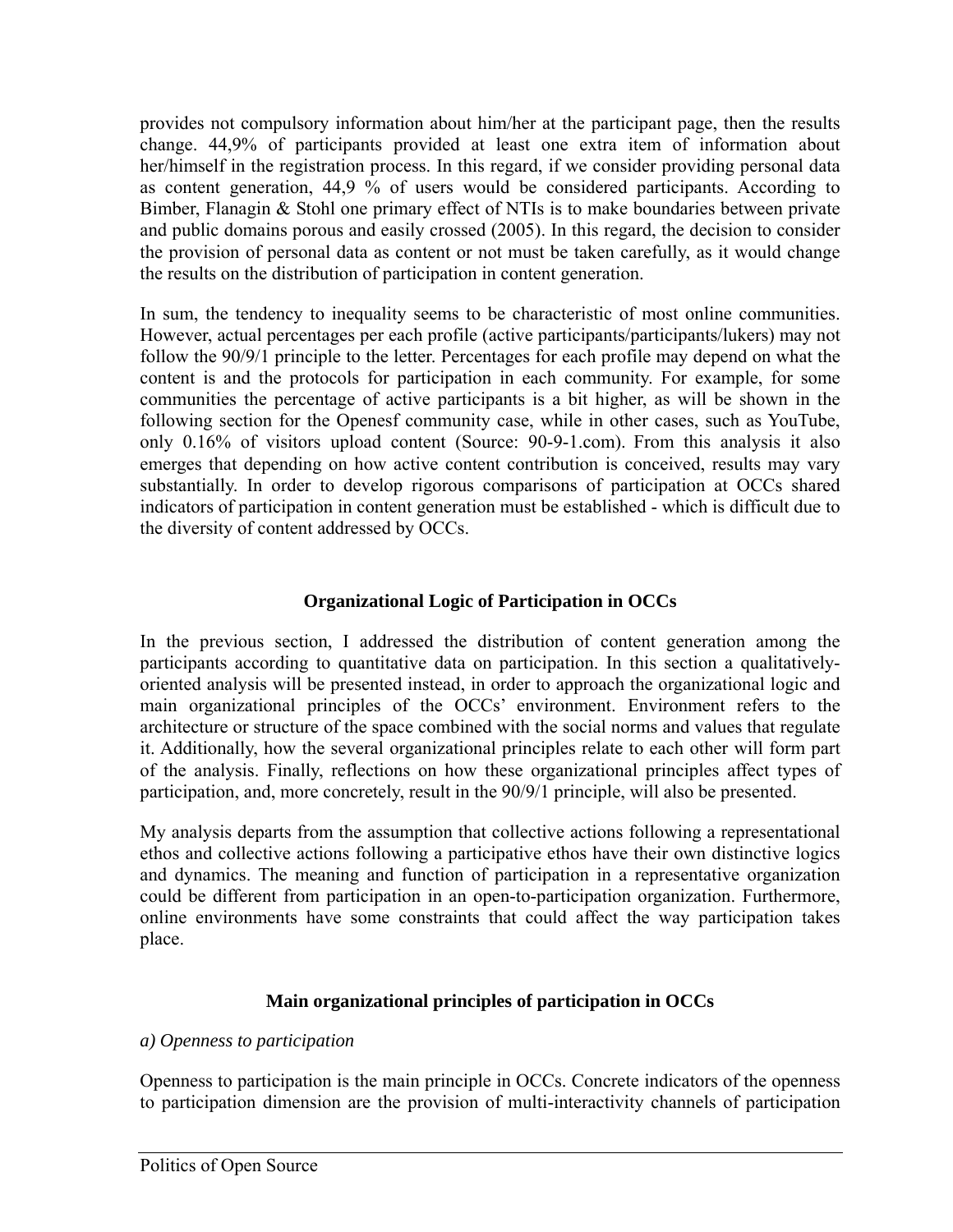provides not compulsory information about him/her at the participant page, then the results change. 44,9% of participants provided at least one extra item of information about her/himself in the registration process. In this regard, if we consider providing personal data as content generation, 44,9 % of users would be considered participants. According to Bimber, Flanagin & Stohl one primary effect of NTIs is to make boundaries between private and public domains porous and easily crossed (2005). In this regard, the decision to consider the provision of personal data as content or not must be taken carefully, as it would change the results on the distribution of participation in content generation.

In sum, the tendency to inequality seems to be characteristic of most online communities. However, actual percentages per each profile (active participants/participants/lukers) may not follow the 90/9/1 principle to the letter. Percentages for each profile may depend on what the content is and the protocols for participation in each community. For example, for some communities the percentage of active participants is a bit higher, as will be shown in the following section for the Openesf community case, while in other cases, such as YouTube, only 0.16% of visitors upload content (Source: 90-9-1.com). From this analysis it also emerges that depending on how active content contribution is conceived, results may vary substantially. In order to develop rigorous comparisons of participation at OCCs shared indicators of participation in content generation must be established - which is difficult due to the diversity of content addressed by OCCs.

# **Organizational Logic of Participation in OCCs**

In the previous section, I addressed the distribution of content generation among the participants according to quantitative data on participation. In this section a qualitativelyoriented analysis will be presented instead, in order to approach the organizational logic and main organizational principles of the OCCs' environment. Environment refers to the architecture or structure of the space combined with the social norms and values that regulate it. Additionally, how the several organizational principles relate to each other will form part of the analysis. Finally, reflections on how these organizational principles affect types of participation, and, more concretely, result in the 90/9/1 principle, will also be presented.

My analysis departs from the assumption that collective actions following a representational ethos and collective actions following a participative ethos have their own distinctive logics and dynamics. The meaning and function of participation in a representative organization could be different from participation in an open-to-participation organization. Furthermore, online environments have some constraints that could affect the way participation takes place.

# **Main organizational principles of participation in OCCs**

# *a) Openness to participation*

Openness to participation is the main principle in OCCs. Concrete indicators of the openness to participation dimension are the provision of multi-interactivity channels of participation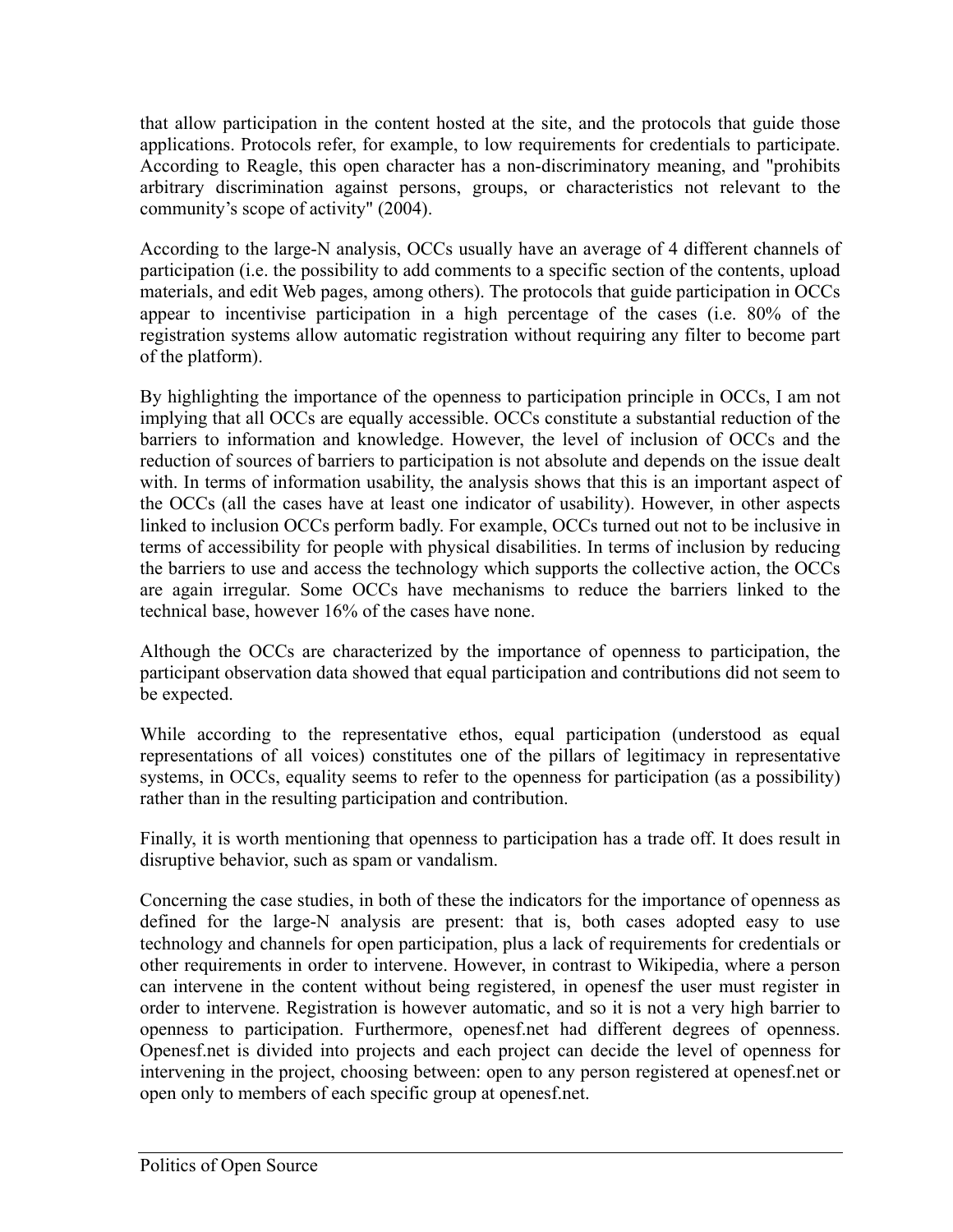that allow participation in the content hosted at the site, and the protocols that guide those applications. Protocols refer, for example, to low requirements for credentials to participate. According to Reagle, this open character has a non-discriminatory meaning, and "prohibits arbitrary discrimination against persons, groups, or characteristics not relevant to the community's scope of activity" (2004).

According to the large-N analysis, OCCs usually have an average of 4 different channels of participation (i.e. the possibility to add comments to a specific section of the contents, upload materials, and edit Web pages, among others). The protocols that guide participation in OCCs appear to incentivise participation in a high percentage of the cases (i.e. 80% of the registration systems allow automatic registration without requiring any filter to become part of the platform).

By highlighting the importance of the openness to participation principle in OCCs, I am not implying that all OCCs are equally accessible. OCCs constitute a substantial reduction of the barriers to information and knowledge. However, the level of inclusion of OCCs and the reduction of sources of barriers to participation is not absolute and depends on the issue dealt with. In terms of information usability, the analysis shows that this is an important aspect of the OCCs (all the cases have at least one indicator of usability). However, in other aspects linked to inclusion OCCs perform badly. For example, OCCs turned out not to be inclusive in terms of accessibility for people with physical disabilities. In terms of inclusion by reducing the barriers to use and access the technology which supports the collective action, the OCCs are again irregular. Some OCCs have mechanisms to reduce the barriers linked to the technical base, however 16% of the cases have none.

Although the OCCs are characterized by the importance of openness to participation, the participant observation data showed that equal participation and contributions did not seem to be expected.

While according to the representative ethos, equal participation (understood as equal representations of all voices) constitutes one of the pillars of legitimacy in representative systems, in OCCs, equality seems to refer to the openness for participation (as a possibility) rather than in the resulting participation and contribution.

Finally, it is worth mentioning that openness to participation has a trade off. It does result in disruptive behavior, such as spam or vandalism.

Concerning the case studies, in both of these the indicators for the importance of openness as defined for the large-N analysis are present: that is, both cases adopted easy to use technology and channels for open participation, plus a lack of requirements for credentials or other requirements in order to intervene. However, in contrast to Wikipedia, where a person can intervene in the content without being registered, in openesf the user must register in order to intervene. Registration is however automatic, and so it is not a very high barrier to openness to participation. Furthermore, openesf.net had different degrees of openness. Openesf.net is divided into projects and each project can decide the level of openness for intervening in the project, choosing between: open to any person registered at openesf.net or open only to members of each specific group at openesf.net.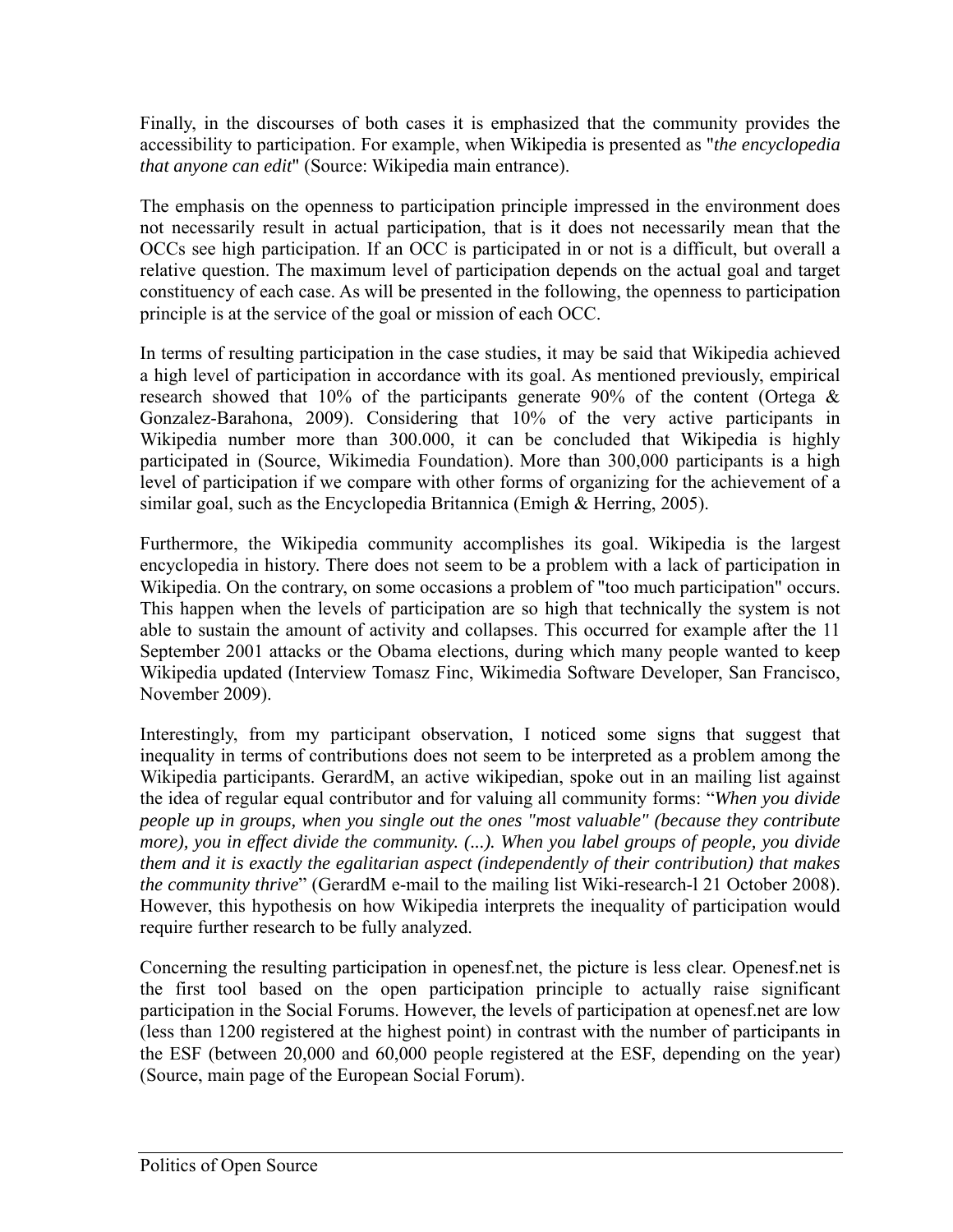Finally, in the discourses of both cases it is emphasized that the community provides the accessibility to participation. For example, when Wikipedia is presented as "*the encyclopedia that anyone can edit*" (Source: Wikipedia main entrance).

The emphasis on the openness to participation principle impressed in the environment does not necessarily result in actual participation, that is it does not necessarily mean that the OCCs see high participation. If an OCC is participated in or not is a difficult, but overall a relative question. The maximum level of participation depends on the actual goal and target constituency of each case. As will be presented in the following, the openness to participation principle is at the service of the goal or mission of each OCC.

In terms of resulting participation in the case studies, it may be said that Wikipedia achieved a high level of participation in accordance with its goal. As mentioned previously, empirical research showed that 10% of the participants generate 90% of the content (Ortega  $\&$ Gonzalez-Barahona, 2009). Considering that 10% of the very active participants in Wikipedia number more than 300.000, it can be concluded that Wikipedia is highly participated in (Source, Wikimedia Foundation). More than 300,000 participants is a high level of participation if we compare with other forms of organizing for the achievement of a similar goal, such as the Encyclopedia Britannica (Emigh & Herring, 2005).

Furthermore, the Wikipedia community accomplishes its goal. Wikipedia is the largest encyclopedia in history. There does not seem to be a problem with a lack of participation in Wikipedia. On the contrary, on some occasions a problem of "too much participation" occurs. This happen when the levels of participation are so high that technically the system is not able to sustain the amount of activity and collapses. This occurred for example after the 11 September 2001 attacks or the Obama elections, during which many people wanted to keep Wikipedia updated (Interview Tomasz Finc, Wikimedia Software Developer, San Francisco, November 2009).

Interestingly, from my participant observation, I noticed some signs that suggest that inequality in terms of contributions does not seem to be interpreted as a problem among the Wikipedia participants. GerardM, an active wikipedian, spoke out in an mailing list against the idea of regular equal contributor and for valuing all community forms: "*When you divide people up in groups, when you single out the ones "most valuable" (because they contribute more), you in effect divide the community. (...). When you label groups of people, you divide them and it is exactly the egalitarian aspect (independently of their contribution) that makes the community thrive*" (GerardM e-mail to the mailing list Wiki-research-l 21 October 2008). However, this hypothesis on how Wikipedia interprets the inequality of participation would require further research to be fully analyzed.

Concerning the resulting participation in openesf.net, the picture is less clear. Openesf.net is the first tool based on the open participation principle to actually raise significant participation in the Social Forums. However, the levels of participation at openesf.net are low (less than 1200 registered at the highest point) in contrast with the number of participants in the ESF (between 20,000 and 60,000 people registered at the ESF, depending on the year) (Source, main page of the European Social Forum).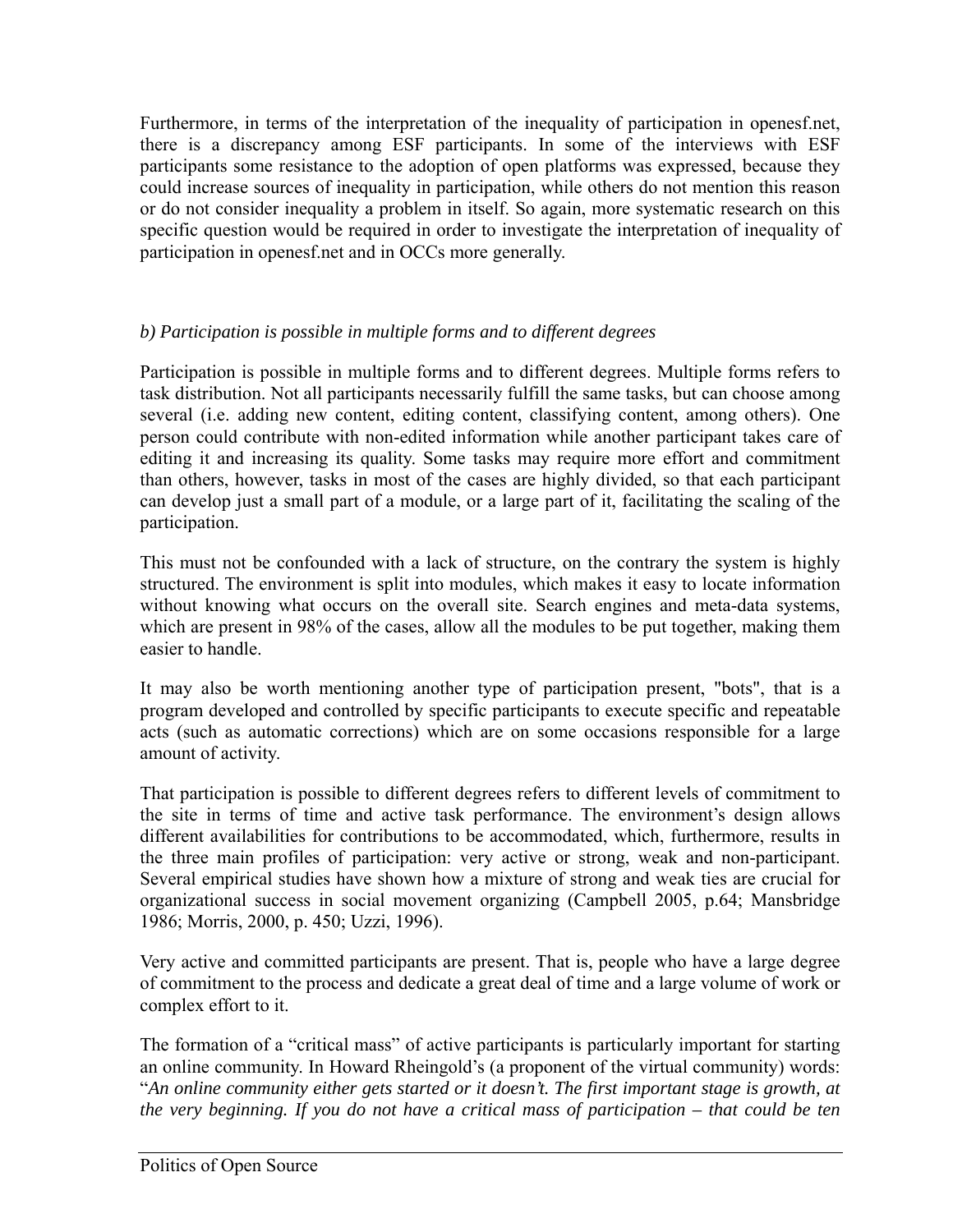Furthermore, in terms of the interpretation of the inequality of participation in openesf.net, there is a discrepancy among ESF participants. In some of the interviews with ESF participants some resistance to the adoption of open platforms was expressed, because they could increase sources of inequality in participation, while others do not mention this reason or do not consider inequality a problem in itself. So again, more systematic research on this specific question would be required in order to investigate the interpretation of inequality of participation in openesf.net and in OCCs more generally.

# *b) Participation is possible in multiple forms and to different degrees*

Participation is possible in multiple forms and to different degrees. Multiple forms refers to task distribution. Not all participants necessarily fulfill the same tasks, but can choose among several (i.e. adding new content, editing content, classifying content, among others). One person could contribute with non-edited information while another participant takes care of editing it and increasing its quality. Some tasks may require more effort and commitment than others, however, tasks in most of the cases are highly divided, so that each participant can develop just a small part of a module, or a large part of it, facilitating the scaling of the participation.

This must not be confounded with a lack of structure, on the contrary the system is highly structured. The environment is split into modules, which makes it easy to locate information without knowing what occurs on the overall site. Search engines and meta-data systems, which are present in 98% of the cases, allow all the modules to be put together, making them easier to handle.

It may also be worth mentioning another type of participation present, "bots", that is a program developed and controlled by specific participants to execute specific and repeatable acts (such as automatic corrections) which are on some occasions responsible for a large amount of activity.

That participation is possible to different degrees refers to different levels of commitment to the site in terms of time and active task performance. The environment's design allows different availabilities for contributions to be accommodated, which, furthermore, results in the three main profiles of participation: very active or strong, weak and non-participant. Several empirical studies have shown how a mixture of strong and weak ties are crucial for organizational success in social movement organizing (Campbell 2005, p.64; Mansbridge 1986; Morris, 2000, p. 450; Uzzi, 1996).

Very active and committed participants are present. That is, people who have a large degree of commitment to the process and dedicate a great deal of time and a large volume of work or complex effort to it.

The formation of a "critical mass" of active participants is particularly important for starting an online community. In Howard Rheingold's (a proponent of the virtual community) words: "*An online community either gets started or it doesn't. The first important stage is growth, at the very beginning. If you do not have a critical mass of participation – that could be ten*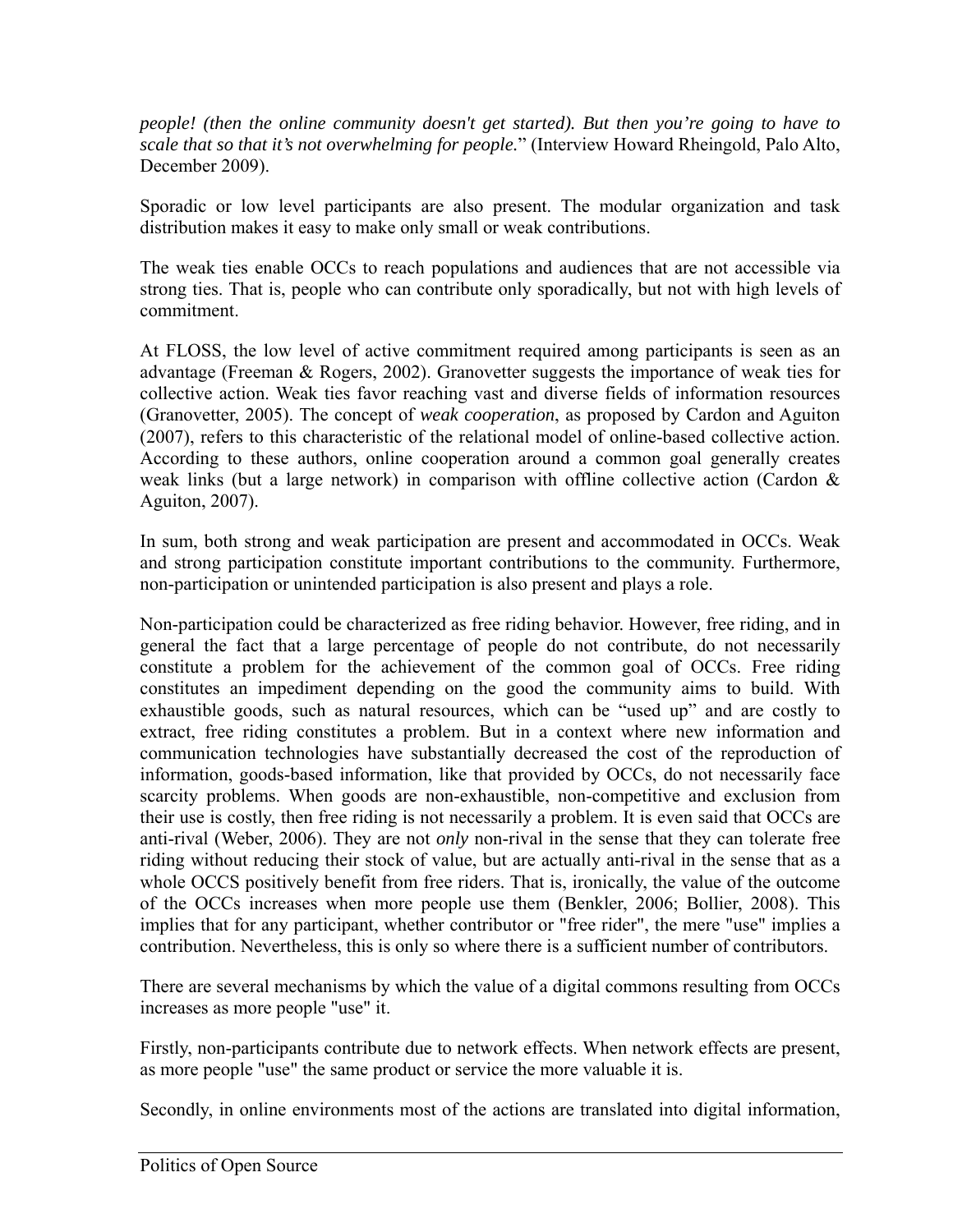*people! (then the online community doesn't get started). But then you're going to have to scale that so that it's not overwhelming for people.*" (Interview Howard Rheingold, Palo Alto, December 2009).

Sporadic or low level participants are also present. The modular organization and task distribution makes it easy to make only small or weak contributions.

The weak ties enable OCCs to reach populations and audiences that are not accessible via strong ties. That is, people who can contribute only sporadically, but not with high levels of commitment.

At FLOSS, the low level of active commitment required among participants is seen as an advantage (Freeman & Rogers, 2002). Granovetter suggests the importance of weak ties for collective action. Weak ties favor reaching vast and diverse fields of information resources (Granovetter, 2005). The concept of *weak cooperation*, as proposed by Cardon and Aguiton (2007), refers to this characteristic of the relational model of online-based collective action. According to these authors, online cooperation around a common goal generally creates weak links (but a large network) in comparison with offline collective action (Cardon & Aguiton, 2007).

In sum, both strong and weak participation are present and accommodated in OCCs. Weak and strong participation constitute important contributions to the community. Furthermore, non-participation or unintended participation is also present and plays a role.

Non-participation could be characterized as free riding behavior. However, free riding, and in general the fact that a large percentage of people do not contribute, do not necessarily constitute a problem for the achievement of the common goal of OCCs. Free riding constitutes an impediment depending on the good the community aims to build. With exhaustible goods, such as natural resources, which can be "used up" and are costly to extract, free riding constitutes a problem. But in a context where new information and communication technologies have substantially decreased the cost of the reproduction of information, goods-based information, like that provided by OCCs, do not necessarily face scarcity problems. When goods are non-exhaustible, non-competitive and exclusion from their use is costly, then free riding is not necessarily a problem. It is even said that OCCs are anti-rival (Weber, 2006). They are not *only* non-rival in the sense that they can tolerate free riding without reducing their stock of value, but are actually anti-rival in the sense that as a whole OCCS positively benefit from free riders. That is, ironically, the value of the outcome of the OCCs increases when more people use them (Benkler, 2006; Bollier, 2008). This implies that for any participant, whether contributor or "free rider", the mere "use" implies a contribution. Nevertheless, this is only so where there is a sufficient number of contributors.

There are several mechanisms by which the value of a digital commons resulting from OCCs increases as more people "use" it.

Firstly, non-participants contribute due to network effects. When network effects are present, as more people "use" the same product or service the more valuable it is.

Secondly, in online environments most of the actions are translated into digital information,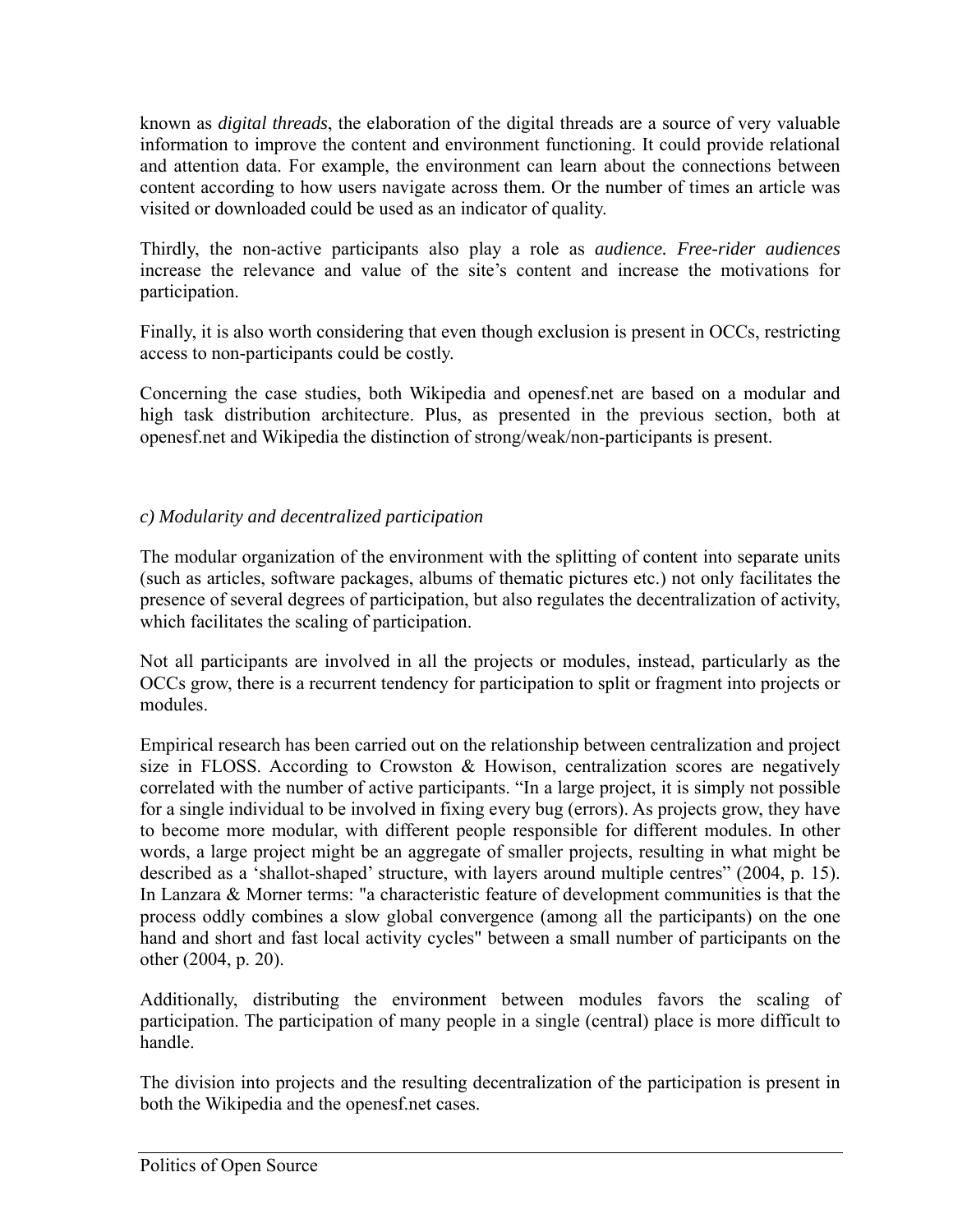known as *digital threads*, the elaboration of the digital threads are a source of very valuable information to improve the content and environment functioning. It could provide relational and attention data. For example, the environment can learn about the connections between content according to how users navigate across them. Or the number of times an article was visited or downloaded could be used as an indicator of quality.

Thirdly, the non-active participants also play a role as *audience. Free-rider audiences* increase the relevance and value of the site's content and increase the motivations for participation.

Finally, it is also worth considering that even though exclusion is present in OCCs, restricting access to non-participants could be costly.

Concerning the case studies, both Wikipedia and openesf.net are based on a modular and high task distribution architecture. Plus, as presented in the previous section, both at openesf.net and Wikipedia the distinction of strong/weak/non-participants is present.

# *c) Modularity and decentralized participation*

The modular organization of the environment with the splitting of content into separate units (such as articles, software packages, albums of thematic pictures etc.) not only facilitates the presence of several degrees of participation, but also regulates the decentralization of activity, which facilitates the scaling of participation.

Not all participants are involved in all the projects or modules, instead, particularly as the OCCs grow, there is a recurrent tendency for participation to split or fragment into projects or modules.

Empirical research has been carried out on the relationship between centralization and project size in FLOSS. According to Crowston & Howison, centralization scores are negatively correlated with the number of active participants. "In a large project, it is simply not possible for a single individual to be involved in fixing every bug (errors). As projects grow, they have to become more modular, with different people responsible for different modules. In other words, a large project might be an aggregate of smaller projects, resulting in what might be described as a 'shallot-shaped' structure, with layers around multiple centres" (2004, p. 15). In Lanzara & Morner terms: "a characteristic feature of development communities is that the process oddly combines a slow global convergence (among all the participants) on the one hand and short and fast local activity cycles" between a small number of participants on the other (2004, p. 20).

Additionally, distributing the environment between modules favors the scaling of participation. The participation of many people in a single (central) place is more difficult to handle.

The division into projects and the resulting decentralization of the participation is present in both the Wikipedia and the openesf.net cases.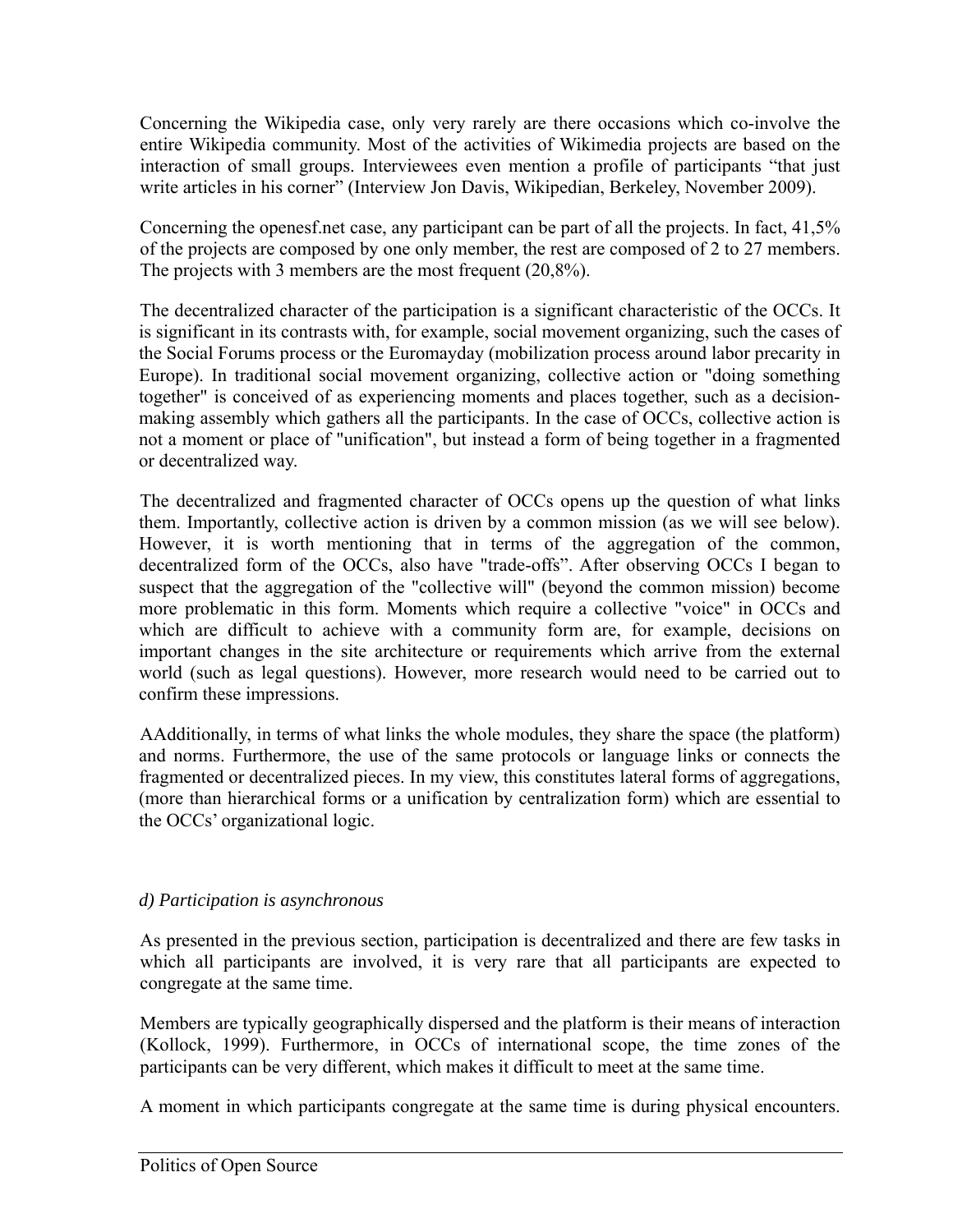Concerning the Wikipedia case, only very rarely are there occasions which co-involve the entire Wikipedia community. Most of the activities of Wikimedia projects are based on the interaction of small groups. Interviewees even mention a profile of participants "that just write articles in his corner" (Interview Jon Davis, Wikipedian, Berkeley, November 2009).

Concerning the openesf.net case, any participant can be part of all the projects. In fact, 41,5% of the projects are composed by one only member, the rest are composed of 2 to 27 members. The projects with 3 members are the most frequent (20,8%).

The decentralized character of the participation is a significant characteristic of the OCCs. It is significant in its contrasts with, for example, social movement organizing, such the cases of the Social Forums process or the Euromayday (mobilization process around labor precarity in Europe). In traditional social movement organizing, collective action or "doing something together" is conceived of as experiencing moments and places together, such as a decisionmaking assembly which gathers all the participants. In the case of OCCs, collective action is not a moment or place of "unification", but instead a form of being together in a fragmented or decentralized way.

The decentralized and fragmented character of OCCs opens up the question of what links them. Importantly, collective action is driven by a common mission (as we will see below). However, it is worth mentioning that in terms of the aggregation of the common, decentralized form of the OCCs, also have "trade-offs". After observing OCCs I began to suspect that the aggregation of the "collective will" (beyond the common mission) become more problematic in this form. Moments which require a collective "voice" in OCCs and which are difficult to achieve with a community form are, for example, decisions on important changes in the site architecture or requirements which arrive from the external world (such as legal questions). However, more research would need to be carried out to confirm these impressions.

AAdditionally, in terms of what links the whole modules, they share the space (the platform) and norms. Furthermore, the use of the same protocols or language links or connects the fragmented or decentralized pieces. In my view, this constitutes lateral forms of aggregations, (more than hierarchical forms or a unification by centralization form) which are essential to the OCCs' organizational logic.

# *d) Participation is asynchronous*

As presented in the previous section, participation is decentralized and there are few tasks in which all participants are involved, it is very rare that all participants are expected to congregate at the same time.

Members are typically geographically dispersed and the platform is their means of interaction (Kollock, 1999). Furthermore, in OCCs of international scope, the time zones of the participants can be very different, which makes it difficult to meet at the same time.

A moment in which participants congregate at the same time is during physical encounters.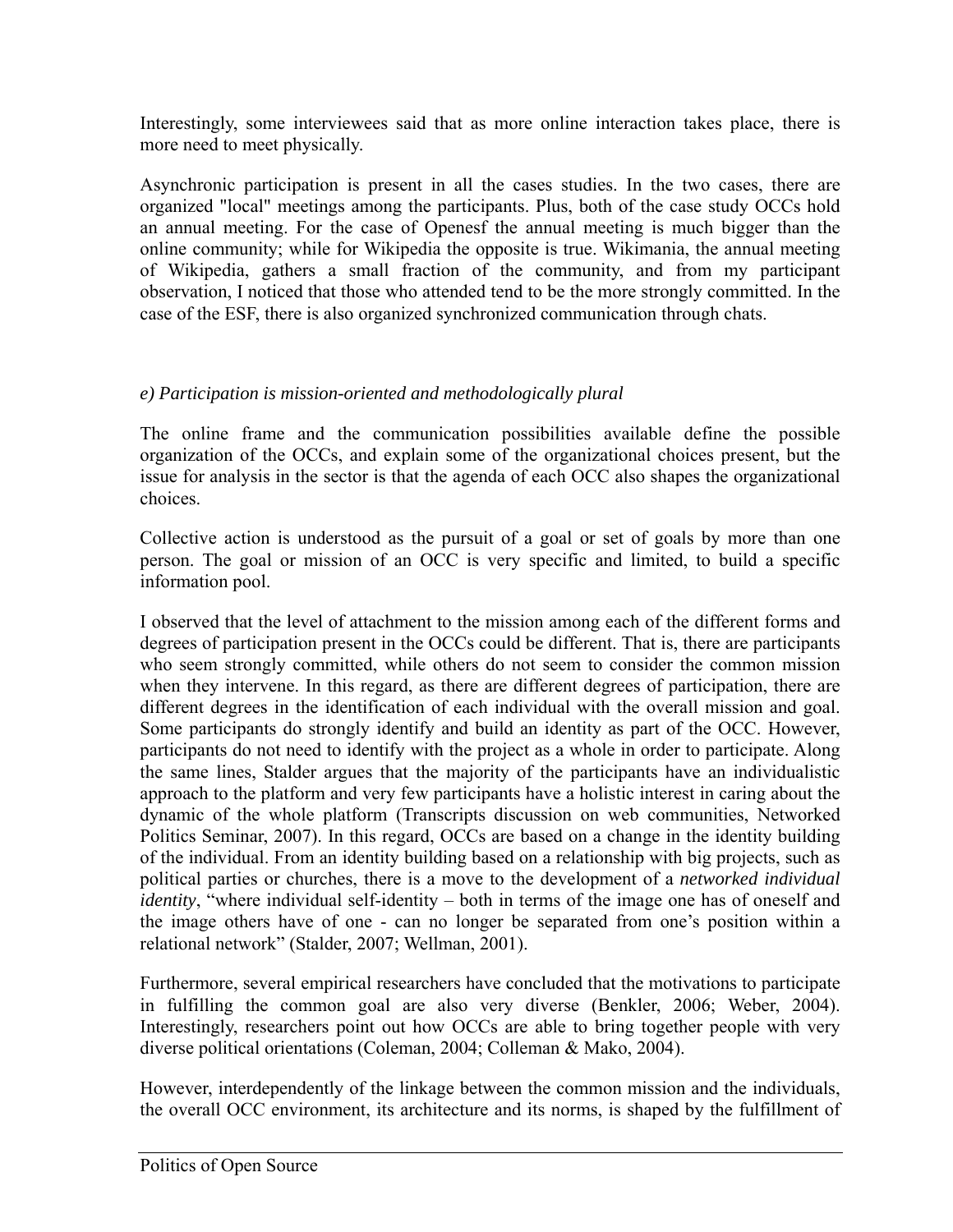Interestingly, some interviewees said that as more online interaction takes place, there is more need to meet physically.

Asynchronic participation is present in all the cases studies. In the two cases, there are organized "local" meetings among the participants. Plus, both of the case study OCCs hold an annual meeting. For the case of Openesf the annual meeting is much bigger than the online community; while for Wikipedia the opposite is true. Wikimania, the annual meeting of Wikipedia, gathers a small fraction of the community, and from my participant observation, I noticed that those who attended tend to be the more strongly committed. In the case of the ESF, there is also organized synchronized communication through chats.

# *e) Participation is mission-oriented and methodologically plural*

The online frame and the communication possibilities available define the possible organization of the OCCs, and explain some of the organizational choices present, but the issue for analysis in the sector is that the agenda of each OCC also shapes the organizational choices.

Collective action is understood as the pursuit of a goal or set of goals by more than one person. The goal or mission of an OCC is very specific and limited, to build a specific information pool.

I observed that the level of attachment to the mission among each of the different forms and degrees of participation present in the OCCs could be different. That is, there are participants who seem strongly committed, while others do not seem to consider the common mission when they intervene. In this regard, as there are different degrees of participation, there are different degrees in the identification of each individual with the overall mission and goal. Some participants do strongly identify and build an identity as part of the OCC. However, participants do not need to identify with the project as a whole in order to participate. Along the same lines, Stalder argues that the majority of the participants have an individualistic approach to the platform and very few participants have a holistic interest in caring about the dynamic of the whole platform (Transcripts discussion on web communities, Networked Politics Seminar, 2007). In this regard, OCCs are based on a change in the identity building of the individual. From an identity building based on a relationship with big projects, such as political parties or churches, there is a move to the development of a *networked individual identity*, "where individual self-identity – both in terms of the image one has of oneself and the image others have of one - can no longer be separated from one's position within a relational network" (Stalder, 2007; Wellman, 2001).

Furthermore, several empirical researchers have concluded that the motivations to participate in fulfilling the common goal are also very diverse (Benkler, 2006; Weber, 2004). Interestingly, researchers point out how OCCs are able to bring together people with very diverse political orientations (Coleman, 2004; Colleman & Mako, 2004).

However, interdependently of the linkage between the common mission and the individuals, the overall OCC environment, its architecture and its norms, is shaped by the fulfillment of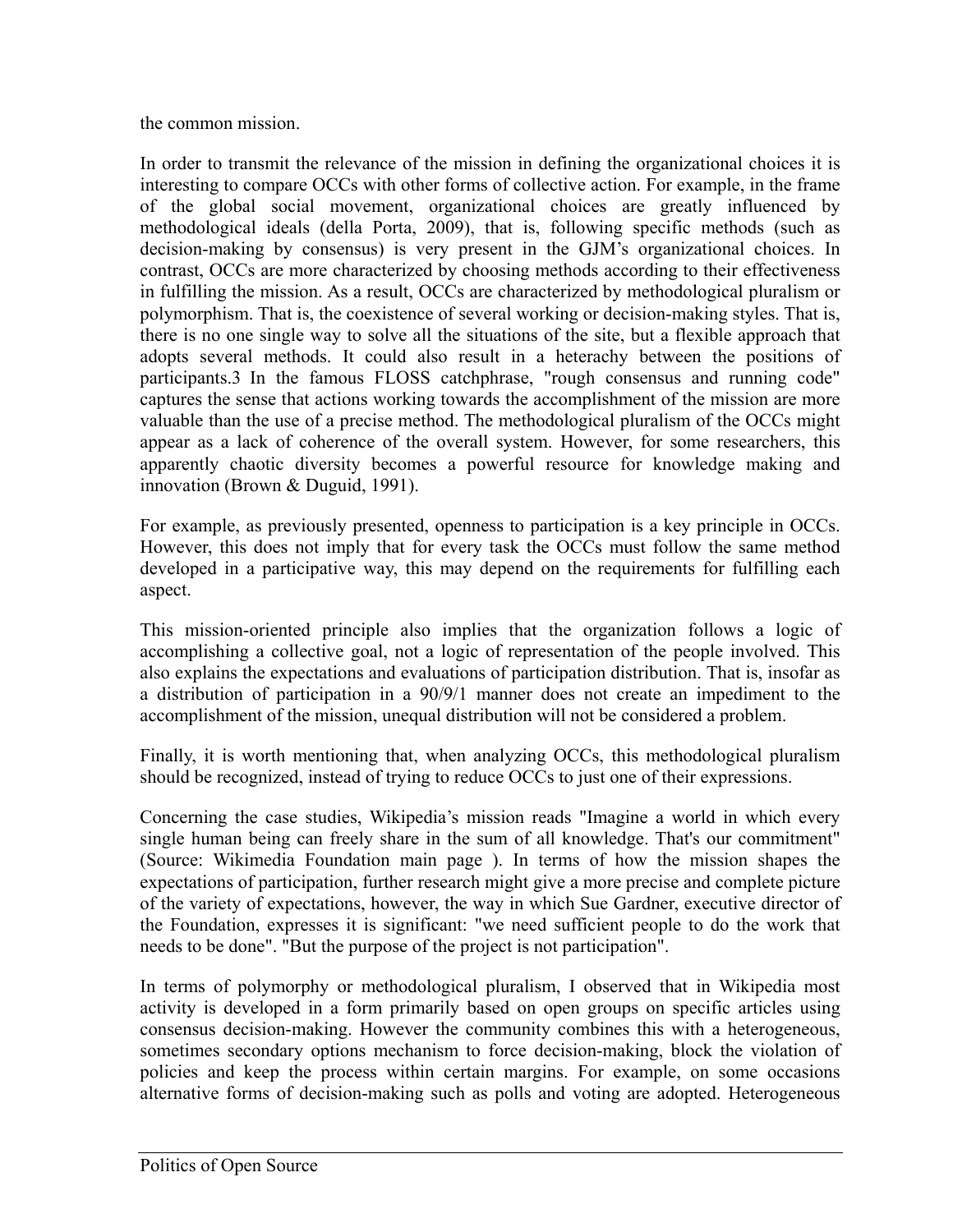the common mission.

In order to transmit the relevance of the mission in defining the organizational choices it is interesting to compare OCCs with other forms of collective action. For example, in the frame of the global social movement, organizational choices are greatly influenced by methodological ideals (della Porta, 2009), that is, following specific methods (such as decision-making by consensus) is very present in the GJM's organizational choices. In contrast, OCCs are more characterized by choosing methods according to their effectiveness in fulfilling the mission. As a result, OCCs are characterized by methodological pluralism or polymorphism. That is, the coexistence of several working or decision-making styles. That is, there is no one single way to solve all the situations of the site, but a flexible approach that adopts several methods. It could also result in a heterachy between the positions of participants.3 In the famous FLOSS catchphrase, "rough consensus and running code" captures the sense that actions working towards the accomplishment of the mission are more valuable than the use of a precise method. The methodological pluralism of the OCCs might appear as a lack of coherence of the overall system. However, for some researchers, this apparently chaotic diversity becomes a powerful resource for knowledge making and innovation (Brown & Duguid, 1991).

For example, as previously presented, openness to participation is a key principle in OCCs. However, this does not imply that for every task the OCCs must follow the same method developed in a participative way, this may depend on the requirements for fulfilling each aspect.

This mission-oriented principle also implies that the organization follows a logic of accomplishing a collective goal, not a logic of representation of the people involved. This also explains the expectations and evaluations of participation distribution. That is, insofar as a distribution of participation in a 90/9/1 manner does not create an impediment to the accomplishment of the mission, unequal distribution will not be considered a problem.

Finally, it is worth mentioning that, when analyzing OCCs, this methodological pluralism should be recognized, instead of trying to reduce OCCs to just one of their expressions.

Concerning the case studies, Wikipedia's mission reads "Imagine a world in which every single human being can freely share in the sum of all knowledge. That's our commitment" (Source: Wikimedia Foundation main page ). In terms of how the mission shapes the expectations of participation, further research might give a more precise and complete picture of the variety of expectations, however, the way in which Sue Gardner, executive director of the Foundation, expresses it is significant: "we need sufficient people to do the work that needs to be done". "But the purpose of the project is not participation".

In terms of polymorphy or methodological pluralism, I observed that in Wikipedia most activity is developed in a form primarily based on open groups on specific articles using consensus decision-making. However the community combines this with a heterogeneous, sometimes secondary options mechanism to force decision-making, block the violation of policies and keep the process within certain margins. For example, on some occasions alternative forms of decision-making such as polls and voting are adopted. Heterogeneous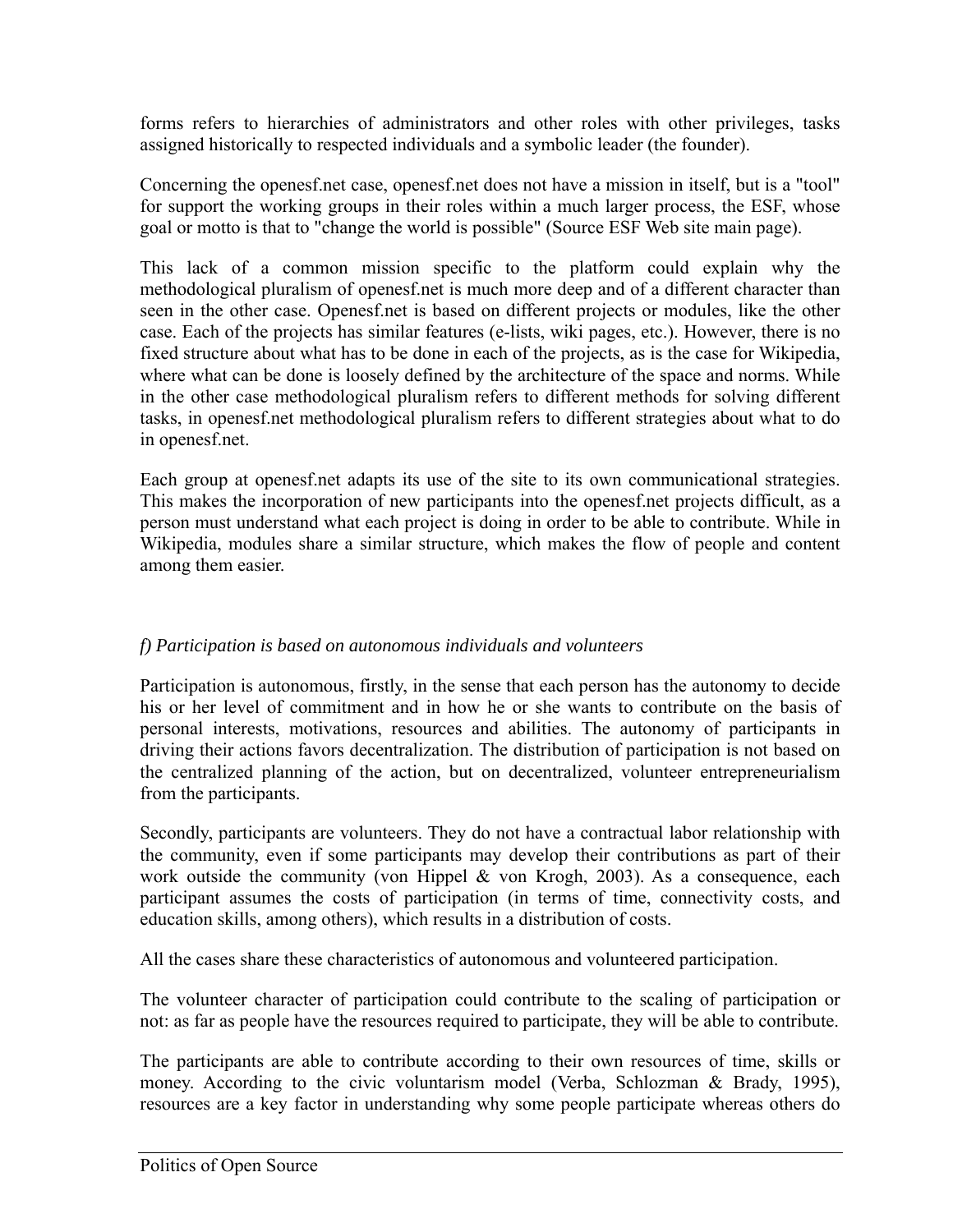forms refers to hierarchies of administrators and other roles with other privileges, tasks assigned historically to respected individuals and a symbolic leader (the founder).

Concerning the openesf.net case, openesf.net does not have a mission in itself, but is a "tool" for support the working groups in their roles within a much larger process, the ESF, whose goal or motto is that to "change the world is possible" (Source ESF Web site main page).

This lack of a common mission specific to the platform could explain why the methodological pluralism of openesf.net is much more deep and of a different character than seen in the other case. Openesf.net is based on different projects or modules, like the other case. Each of the projects has similar features (e-lists, wiki pages, etc.). However, there is no fixed structure about what has to be done in each of the projects, as is the case for Wikipedia, where what can be done is loosely defined by the architecture of the space and norms. While in the other case methodological pluralism refers to different methods for solving different tasks, in openesf.net methodological pluralism refers to different strategies about what to do in openesf.net.

Each group at openesf.net adapts its use of the site to its own communicational strategies. This makes the incorporation of new participants into the openesf.net projects difficult, as a person must understand what each project is doing in order to be able to contribute. While in Wikipedia, modules share a similar structure, which makes the flow of people and content among them easier.

# *f) Participation is based on autonomous individuals and volunteers*

Participation is autonomous, firstly, in the sense that each person has the autonomy to decide his or her level of commitment and in how he or she wants to contribute on the basis of personal interests, motivations, resources and abilities. The autonomy of participants in driving their actions favors decentralization. The distribution of participation is not based on the centralized planning of the action, but on decentralized, volunteer entrepreneurialism from the participants.

Secondly, participants are volunteers. They do not have a contractual labor relationship with the community, even if some participants may develop their contributions as part of their work outside the community (von Hippel & von Krogh, 2003). As a consequence, each participant assumes the costs of participation (in terms of time, connectivity costs, and education skills, among others), which results in a distribution of costs.

All the cases share these characteristics of autonomous and volunteered participation.

The volunteer character of participation could contribute to the scaling of participation or not: as far as people have the resources required to participate, they will be able to contribute.

The participants are able to contribute according to their own resources of time, skills or money. According to the civic voluntarism model (Verba, Schlozman & Brady, 1995), resources are a key factor in understanding why some people participate whereas others do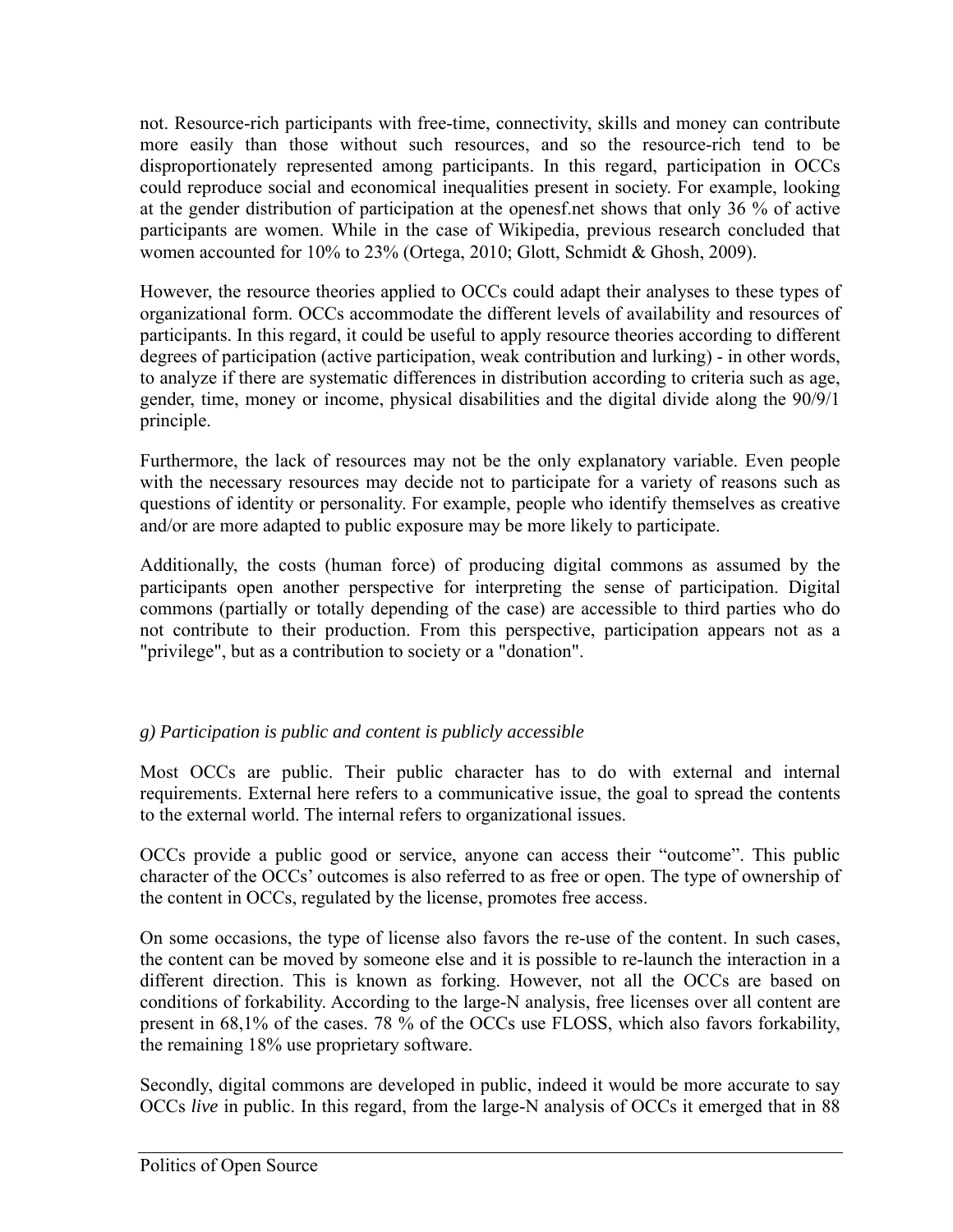not. Resource-rich participants with free-time, connectivity, skills and money can contribute more easily than those without such resources, and so the resource-rich tend to be disproportionately represented among participants. In this regard, participation in OCCs could reproduce social and economical inequalities present in society. For example, looking at the gender distribution of participation at the openesf.net shows that only 36 % of active participants are women. While in the case of Wikipedia, previous research concluded that women accounted for 10% to 23% (Ortega, 2010; Glott, Schmidt & Ghosh, 2009).

However, the resource theories applied to OCCs could adapt their analyses to these types of organizational form. OCCs accommodate the different levels of availability and resources of participants. In this regard, it could be useful to apply resource theories according to different degrees of participation (active participation, weak contribution and lurking) - in other words, to analyze if there are systematic differences in distribution according to criteria such as age, gender, time, money or income, physical disabilities and the digital divide along the 90/9/1 principle.

Furthermore, the lack of resources may not be the only explanatory variable. Even people with the necessary resources may decide not to participate for a variety of reasons such as questions of identity or personality. For example, people who identify themselves as creative and/or are more adapted to public exposure may be more likely to participate.

Additionally, the costs (human force) of producing digital commons as assumed by the participants open another perspective for interpreting the sense of participation. Digital commons (partially or totally depending of the case) are accessible to third parties who do not contribute to their production. From this perspective, participation appears not as a "privilege", but as a contribution to society or a "donation".

# *g) Participation is public and content is publicly accessible*

Most OCCs are public. Their public character has to do with external and internal requirements. External here refers to a communicative issue, the goal to spread the contents to the external world. The internal refers to organizational issues.

OCCs provide a public good or service, anyone can access their "outcome". This public character of the OCCs' outcomes is also referred to as free or open. The type of ownership of the content in OCCs, regulated by the license, promotes free access.

On some occasions, the type of license also favors the re-use of the content. In such cases, the content can be moved by someone else and it is possible to re-launch the interaction in a different direction. This is known as forking. However, not all the OCCs are based on conditions of forkability. According to the large-N analysis, free licenses over all content are present in 68,1% of the cases. 78 % of the OCCs use FLOSS, which also favors forkability, the remaining 18% use proprietary software.

Secondly, digital commons are developed in public, indeed it would be more accurate to say OCCs *live* in public. In this regard, from the large-N analysis of OCCs it emerged that in 88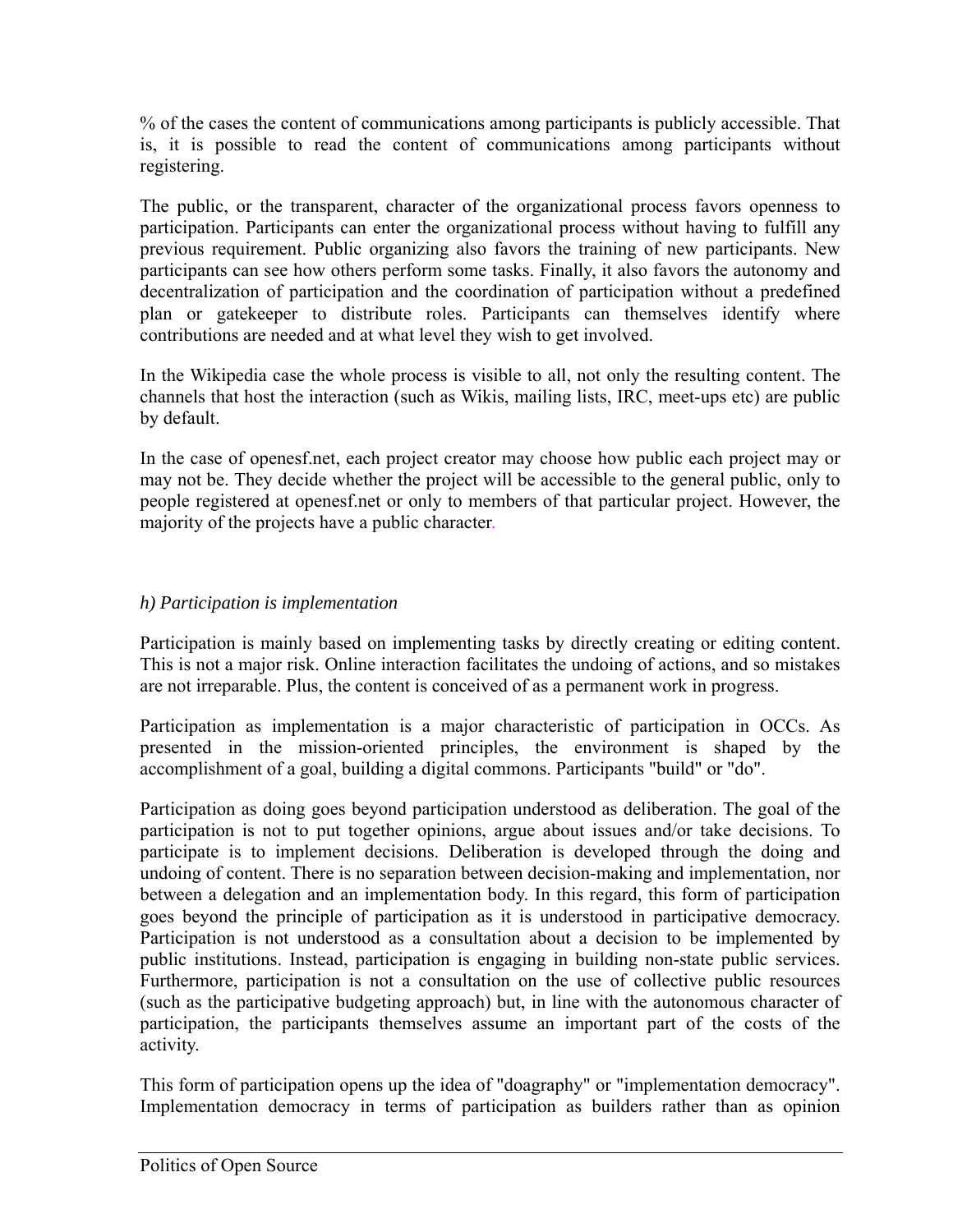% of the cases the content of communications among participants is publicly accessible. That is, it is possible to read the content of communications among participants without registering.

The public, or the transparent, character of the organizational process favors openness to participation. Participants can enter the organizational process without having to fulfill any previous requirement. Public organizing also favors the training of new participants. New participants can see how others perform some tasks. Finally, it also favors the autonomy and decentralization of participation and the coordination of participation without a predefined plan or gatekeeper to distribute roles. Participants can themselves identify where contributions are needed and at what level they wish to get involved.

In the Wikipedia case the whole process is visible to all, not only the resulting content. The channels that host the interaction (such as Wikis, mailing lists, IRC, meet-ups etc) are public by default.

In the case of openesf.net, each project creator may choose how public each project may or may not be. They decide whether the project will be accessible to the general public, only to people registered at openesf.net or only to members of that particular project. However, the majority of the projects have a public character.

# *h) Participation is implementation*

Participation is mainly based on implementing tasks by directly creating or editing content. This is not a major risk. Online interaction facilitates the undoing of actions, and so mistakes are not irreparable. Plus, the content is conceived of as a permanent work in progress.

Participation as implementation is a major characteristic of participation in OCCs. As presented in the mission-oriented principles, the environment is shaped by the accomplishment of a goal, building a digital commons. Participants "build" or "do".

Participation as doing goes beyond participation understood as deliberation. The goal of the participation is not to put together opinions, argue about issues and/or take decisions. To participate is to implement decisions. Deliberation is developed through the doing and undoing of content. There is no separation between decision-making and implementation, nor between a delegation and an implementation body. In this regard, this form of participation goes beyond the principle of participation as it is understood in participative democracy. Participation is not understood as a consultation about a decision to be implemented by public institutions. Instead, participation is engaging in building non-state public services. Furthermore, participation is not a consultation on the use of collective public resources (such as the participative budgeting approach) but, in line with the autonomous character of participation, the participants themselves assume an important part of the costs of the activity.

This form of participation opens up the idea of "doagraphy" or "implementation democracy". Implementation democracy in terms of participation as builders rather than as opinion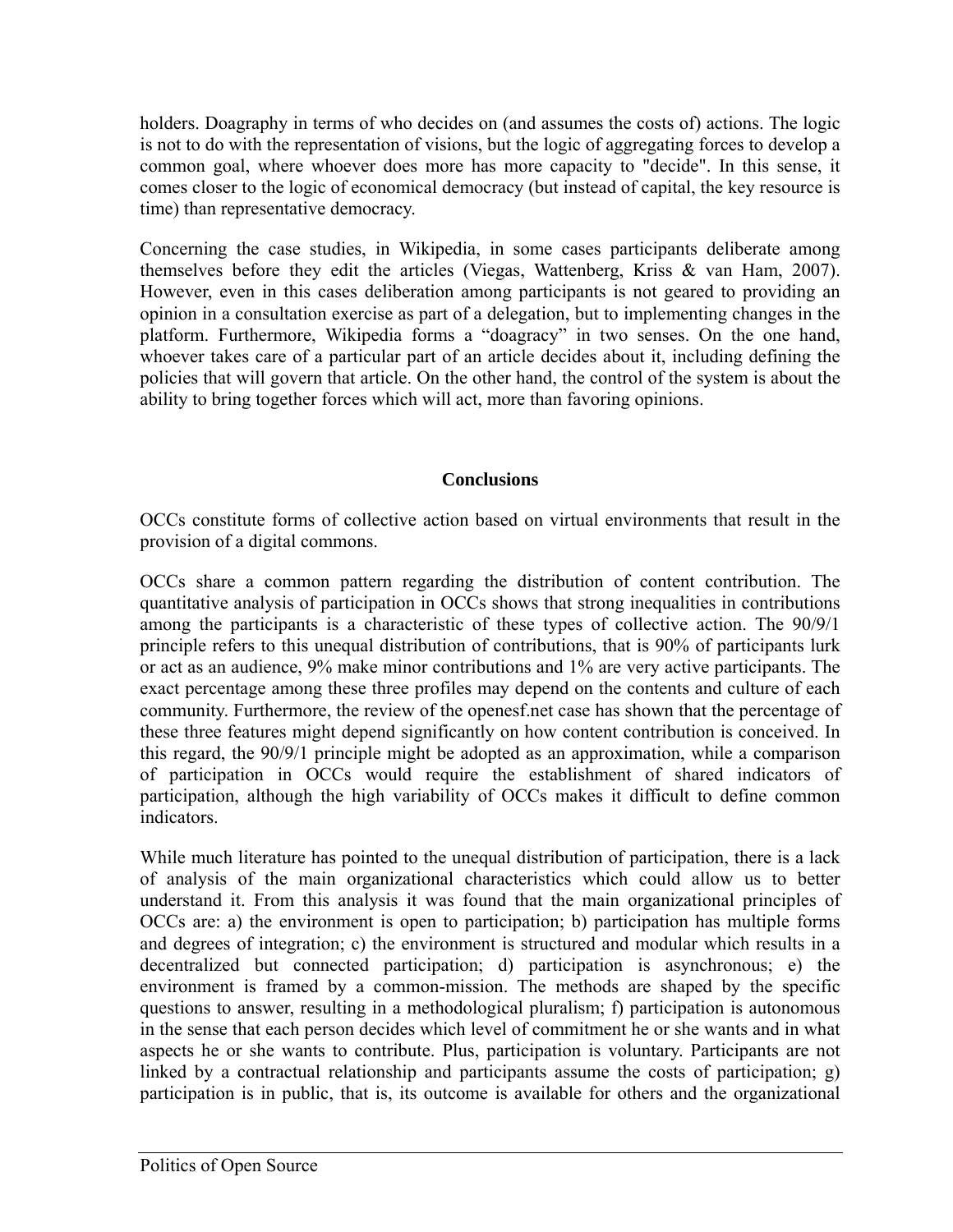holders. Doagraphy in terms of who decides on (and assumes the costs of) actions. The logic is not to do with the representation of visions, but the logic of aggregating forces to develop a common goal, where whoever does more has more capacity to "decide". In this sense, it comes closer to the logic of economical democracy (but instead of capital, the key resource is time) than representative democracy.

Concerning the case studies, in Wikipedia, in some cases participants deliberate among themselves before they edit the articles (Viegas, Wattenberg, Kriss & van Ham, 2007). However, even in this cases deliberation among participants is not geared to providing an opinion in a consultation exercise as part of a delegation, but to implementing changes in the platform. Furthermore, Wikipedia forms a "doagracy" in two senses. On the one hand, whoever takes care of a particular part of an article decides about it, including defining the policies that will govern that article. On the other hand, the control of the system is about the ability to bring together forces which will act, more than favoring opinions.

#### **Conclusions**

OCCs constitute forms of collective action based on virtual environments that result in the provision of a digital commons.

OCCs share a common pattern regarding the distribution of content contribution. The quantitative analysis of participation in OCCs shows that strong inequalities in contributions among the participants is a characteristic of these types of collective action. The 90/9/1 principle refers to this unequal distribution of contributions, that is 90% of participants lurk or act as an audience, 9% make minor contributions and 1% are very active participants. The exact percentage among these three profiles may depend on the contents and culture of each community. Furthermore, the review of the openesf.net case has shown that the percentage of these three features might depend significantly on how content contribution is conceived. In this regard, the 90/9/1 principle might be adopted as an approximation, while a comparison of participation in OCCs would require the establishment of shared indicators of participation, although the high variability of OCCs makes it difficult to define common indicators.

While much literature has pointed to the unequal distribution of participation, there is a lack of analysis of the main organizational characteristics which could allow us to better understand it. From this analysis it was found that the main organizational principles of OCCs are: a) the environment is open to participation; b) participation has multiple forms and degrees of integration; c) the environment is structured and modular which results in a decentralized but connected participation; d) participation is asynchronous; e) the environment is framed by a common-mission. The methods are shaped by the specific questions to answer, resulting in a methodological pluralism; f) participation is autonomous in the sense that each person decides which level of commitment he or she wants and in what aspects he or she wants to contribute. Plus, participation is voluntary. Participants are not linked by a contractual relationship and participants assume the costs of participation; g) participation is in public, that is, its outcome is available for others and the organizational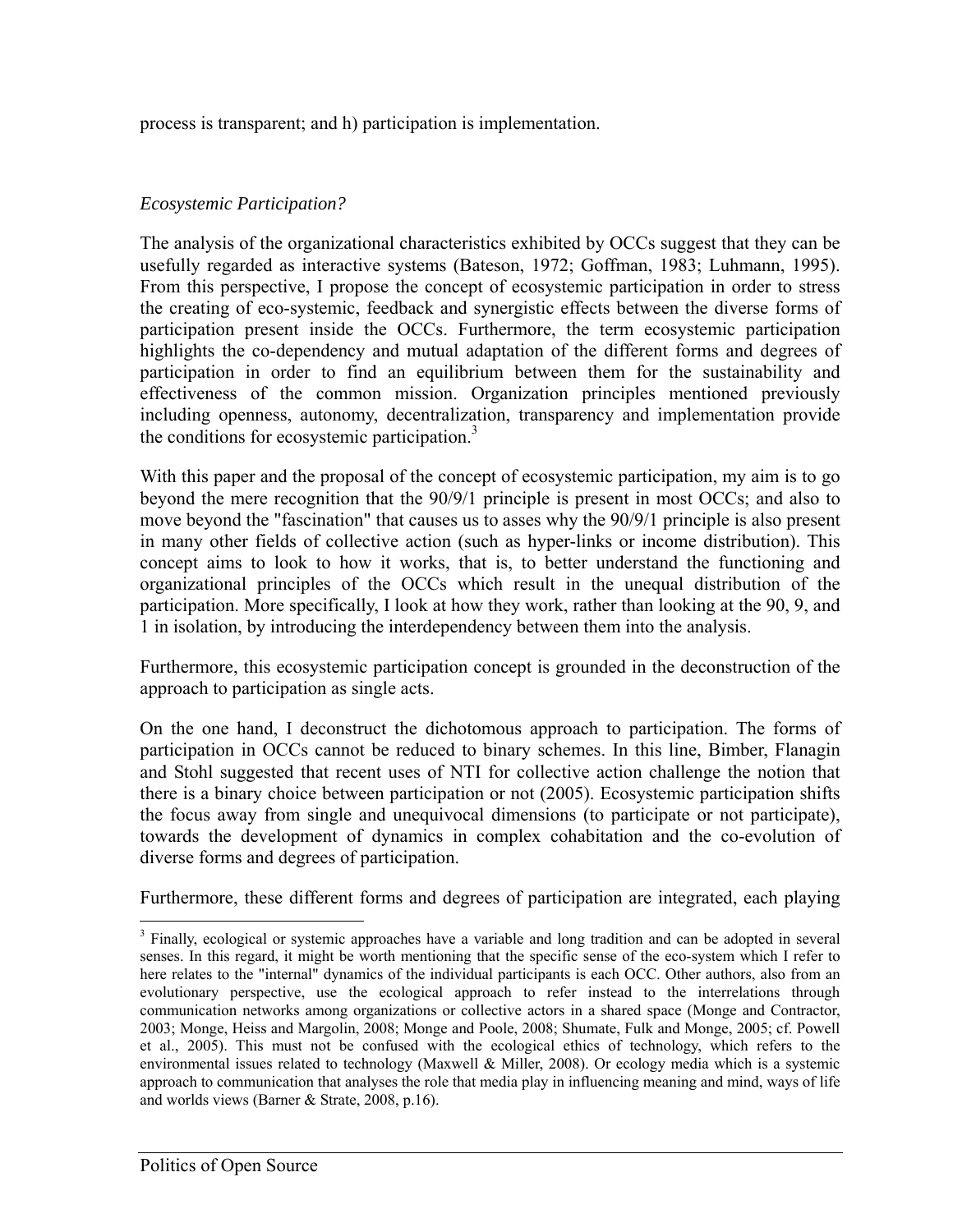process is transparent; and h) participation is implementation.

#### *Ecosystemic Participation?*

The analysis of the organizational characteristics exhibited by OCCs suggest that they can be usefully regarded as interactive systems (Bateson, 1972; Goffman, 1983; Luhmann, 1995). From this perspective, I propose the concept of ecosystemic participation in order to stress the creating of eco-systemic, feedback and synergistic effects between the diverse forms of participation present inside the OCCs. Furthermore, the term ecosystemic participation highlights the co-dependency and mutual adaptation of the different forms and degrees of participation in order to find an equilibrium between them for the sustainability and effectiveness of the common mission. Organization principles mentioned previously including openness, autonomy, decentralization, transparency and implementation provide the conditions for ecosystemic participation.<sup>3</sup>

With this paper and the proposal of the concept of ecosystemic participation, my aim is to go beyond the mere recognition that the 90/9/1 principle is present in most OCCs; and also to move beyond the "fascination" that causes us to asses why the 90/9/1 principle is also present in many other fields of collective action (such as hyper-links or income distribution). This concept aims to look to how it works, that is, to better understand the functioning and organizational principles of the OCCs which result in the unequal distribution of the participation. More specifically, I look at how they work, rather than looking at the 90, 9, and 1 in isolation, by introducing the interdependency between them into the analysis.

Furthermore, this ecosystemic participation concept is grounded in the deconstruction of the approach to participation as single acts.

On the one hand, I deconstruct the dichotomous approach to participation. The forms of participation in OCCs cannot be reduced to binary schemes. In this line, Bimber, Flanagin and Stohl suggested that recent uses of NTI for collective action challenge the notion that there is a binary choice between participation or not (2005). Ecosystemic participation shifts the focus away from single and unequivocal dimensions (to participate or not participate), towards the development of dynamics in complex cohabitation and the co-evolution of diverse forms and degrees of participation.

Furthermore, these different forms and degrees of participation are integrated, each playing

<sup>1</sup> <sup>3</sup> Finally, ecological or systemic approaches have a variable and long tradition and can be adopted in several senses. In this regard, it might be worth mentioning that the specific sense of the eco-system which I refer to here relates to the "internal" dynamics of the individual participants is each OCC. Other authors, also from an evolutionary perspective, use the ecological approach to refer instead to the interrelations through communication networks among organizations or collective actors in a shared space (Monge and Contractor, 2003; Monge, Heiss and Margolin, 2008; Monge and Poole, 2008; Shumate, Fulk and Monge, 2005; cf. Powell et al., 2005). This must not be confused with the ecological ethics of technology, which refers to the environmental issues related to technology (Maxwell & Miller, 2008). Or ecology media which is a systemic approach to communication that analyses the role that media play in influencing meaning and mind, ways of life and worlds views (Barner & Strate, 2008, p.16).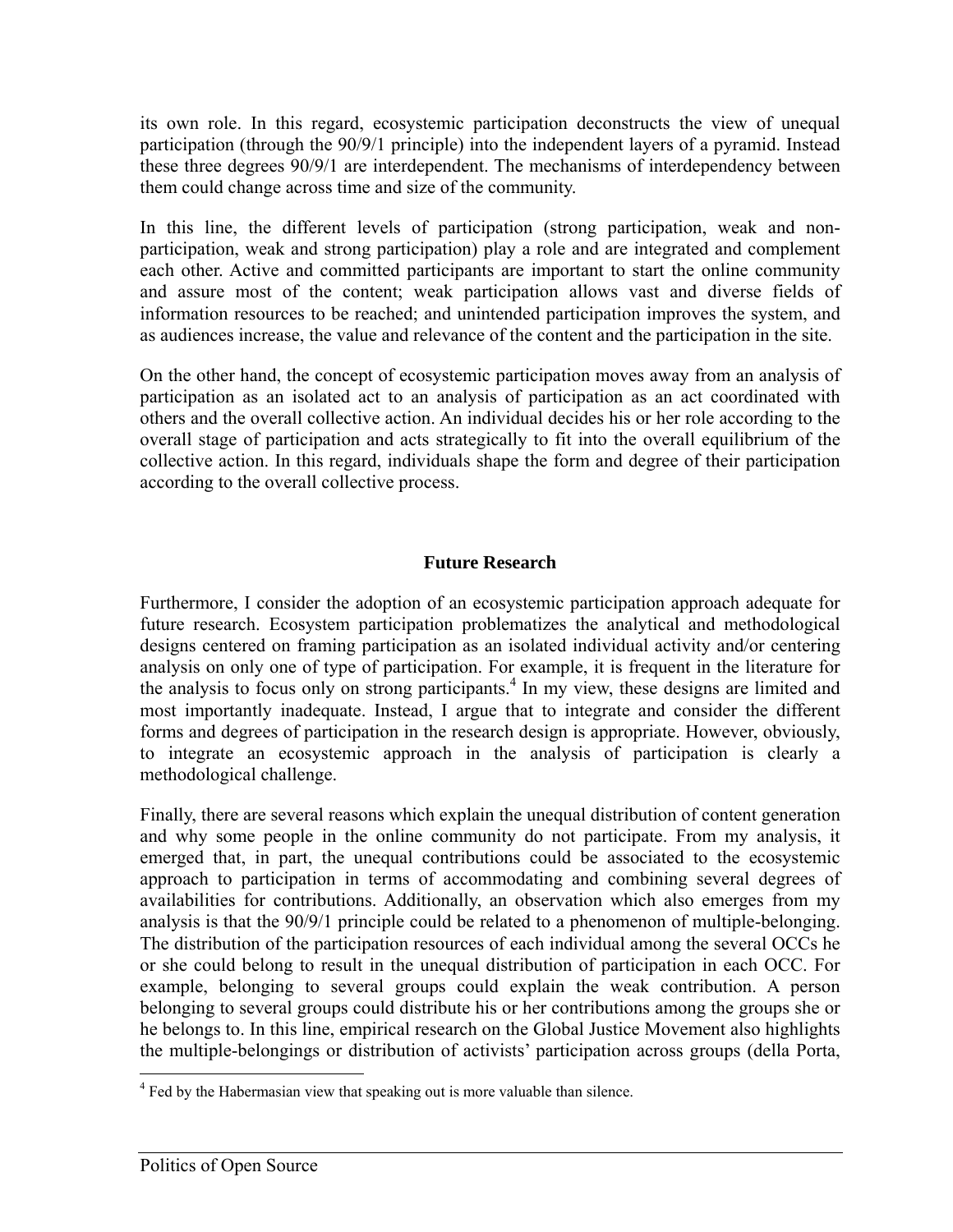its own role. In this regard, ecosystemic participation deconstructs the view of unequal participation (through the 90/9/1 principle) into the independent layers of a pyramid. Instead these three degrees 90/9/1 are interdependent. The mechanisms of interdependency between them could change across time and size of the community.

In this line, the different levels of participation (strong participation, weak and nonparticipation, weak and strong participation) play a role and are integrated and complement each other. Active and committed participants are important to start the online community and assure most of the content; weak participation allows vast and diverse fields of information resources to be reached; and unintended participation improves the system, and as audiences increase, the value and relevance of the content and the participation in the site.

On the other hand, the concept of ecosystemic participation moves away from an analysis of participation as an isolated act to an analysis of participation as an act coordinated with others and the overall collective action. An individual decides his or her role according to the overall stage of participation and acts strategically to fit into the overall equilibrium of the collective action. In this regard, individuals shape the form and degree of their participation according to the overall collective process.

# **Future Research**

Furthermore, I consider the adoption of an ecosystemic participation approach adequate for future research. Ecosystem participation problematizes the analytical and methodological designs centered on framing participation as an isolated individual activity and/or centering analysis on only one of type of participation. For example, it is frequent in the literature for the analysis to focus only on strong participants.<sup>4</sup> In my view, these designs are limited and most importantly inadequate. Instead, I argue that to integrate and consider the different forms and degrees of participation in the research design is appropriate. However, obviously, to integrate an ecosystemic approach in the analysis of participation is clearly a methodological challenge.

Finally, there are several reasons which explain the unequal distribution of content generation and why some people in the online community do not participate. From my analysis, it emerged that, in part, the unequal contributions could be associated to the ecosystemic approach to participation in terms of accommodating and combining several degrees of availabilities for contributions. Additionally, an observation which also emerges from my analysis is that the 90/9/1 principle could be related to a phenomenon of multiple-belonging. The distribution of the participation resources of each individual among the several OCCs he or she could belong to result in the unequal distribution of participation in each OCC. For example, belonging to several groups could explain the weak contribution. A person belonging to several groups could distribute his or her contributions among the groups she or he belongs to. In this line, empirical research on the Global Justice Movement also highlights the multiple-belongings or distribution of activists' participation across groups (della Porta,

 $\overline{a}$ 

<sup>&</sup>lt;sup>4</sup> Fed by the Habermasian view that speaking out is more valuable than silence.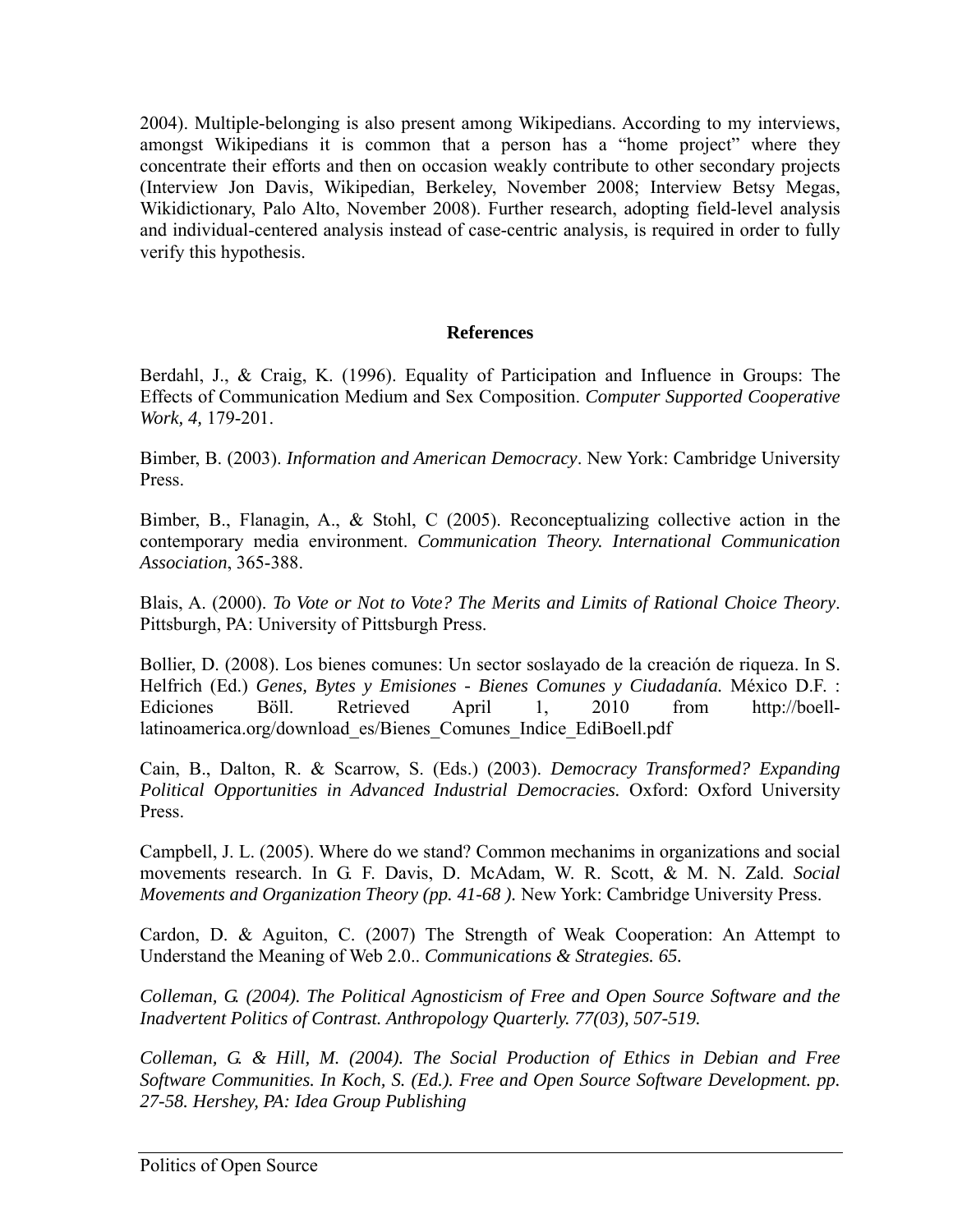2004). Multiple-belonging is also present among Wikipedians. According to my interviews, amongst Wikipedians it is common that a person has a "home project" where they concentrate their efforts and then on occasion weakly contribute to other secondary projects (Interview Jon Davis, Wikipedian, Berkeley, November 2008; Interview Betsy Megas, Wikidictionary, Palo Alto, November 2008). Further research, adopting field-level analysis and individual-centered analysis instead of case-centric analysis, is required in order to fully verify this hypothesis.

#### **References**

Berdahl, J., & Craig, K. (1996). Equality of Participation and Influence in Groups: The Effects of Communication Medium and Sex Composition. *Computer Supported Cooperative Work, 4,* 179-201.

Bimber, B. (2003). *Information and American Democracy*. New York: Cambridge University Press.

Bimber, B., Flanagin, A., & Stohl, C (2005). Reconceptualizing collective action in the contemporary media environment. *Communication Theory. International Communication Association*, 365-388.

Blais, A. (2000). *To Vote or Not to Vote? The Merits and Limits of Rational Choice Theory*. Pittsburgh, PA: University of Pittsburgh Press.

Bollier, D. (2008). Los bienes comunes: Un sector soslayado de la creación de riqueza. In S. Helfrich (Ed.) *Genes, Bytes y Emisiones - Bienes Comunes y Ciudadanía.* México D.F. : Ediciones Böll. Retrieved April 1, 2010 from http://boelllatinoamerica.org/download\_es/Bienes\_Comunes\_Indice\_EdiBoell.pdf

Cain, B., Dalton, R. & Scarrow, S. (Eds.) (2003). *Democracy Transformed? Expanding Political Opportunities in Advanced Industrial Democracies.* Oxford: Oxford University Press.

Campbell, J. L. (2005). Where do we stand? Common mechanims in organizations and social movements research. In G. F. Davis, D. McAdam, W. R. Scott, & M. N. Zald. *Social Movements and Organization Theory (pp. 41-68 ).* New York: Cambridge University Press.

Cardon, D. & Aguiton, C. (2007) The Strength of Weak Cooperation: An Attempt to Understand the Meaning of Web 2.0.. *Communications & Strategies. 65.* 

*Colleman, G. (2004). The Political Agnosticism of Free and Open Source Software and the Inadvertent Politics of Contrast. Anthropology Quarterly. 77(03), 507-519.* 

*Colleman, G. & Hill, M. (2004). The Social Production of Ethics in Debian and Free Software Communities. In Koch, S. (Ed.). Free and Open Source Software Development. pp. 27-58. Hershey, PA: Idea Group Publishing*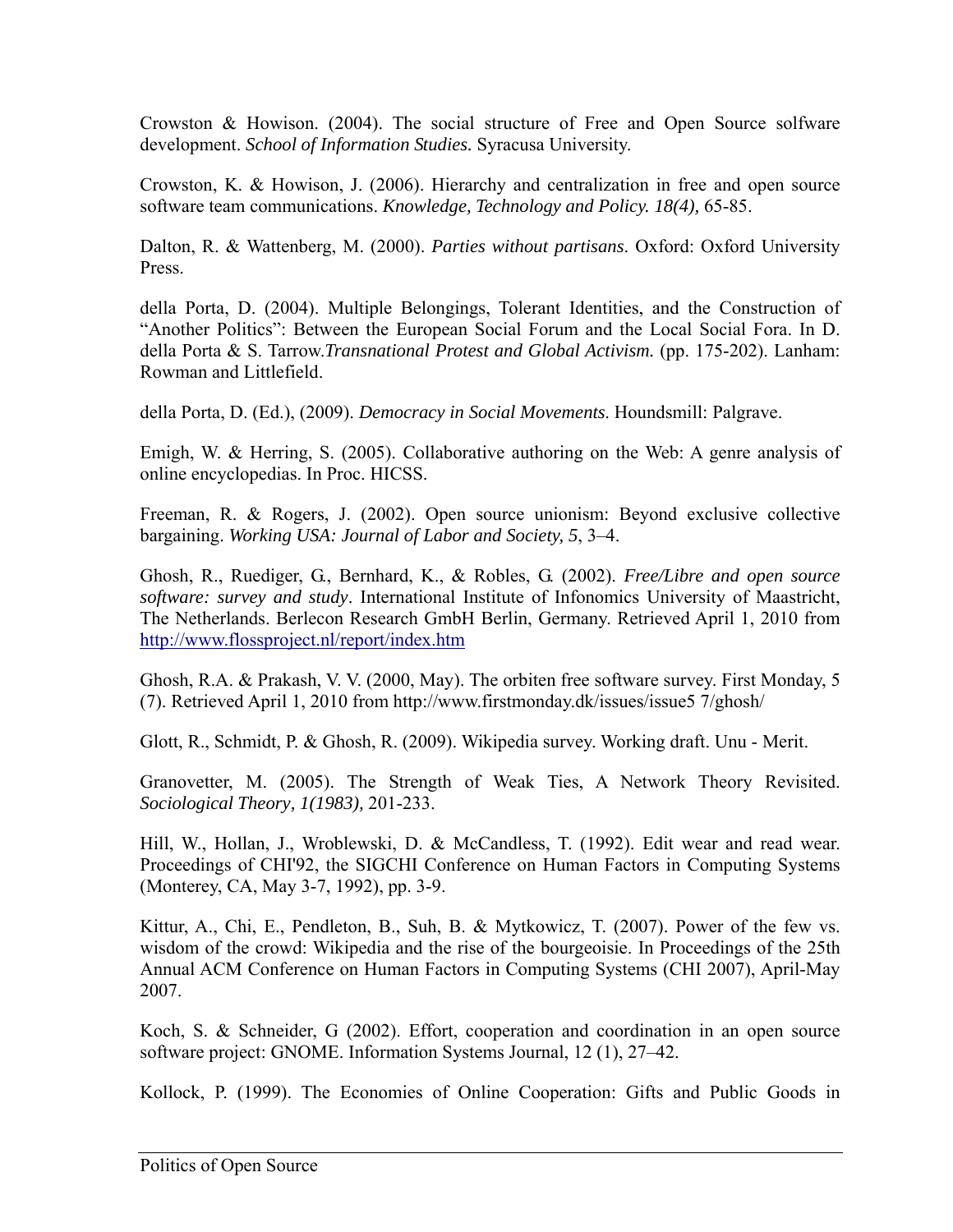Crowston & Howison. (2004). The social structure of Free and Open Source solfware development. *School of Information Studies.* Syracusa University.

Crowston, K. & Howison, J. (2006). Hierarchy and centralization in free and open source software team communications. *Knowledge, Technology and Policy. 18(4),* 65-85.

Dalton, R. & Wattenberg, M. (2000). *Parties without partisans*. Oxford: Oxford University Press.

della Porta, D. (2004). Multiple Belongings, Tolerant Identities, and the Construction of "Another Politics": Between the European Social Forum and the Local Social Fora. In D. della Porta & S. Tarrow.*Transnational Protest and Global Activism.* (pp. 175-202). Lanham: Rowman and Littlefield.

della Porta, D. (Ed.), (2009). *Democracy in Social Movements*. Houndsmill: Palgrave.

Emigh, W. & Herring, S. (2005). Collaborative authoring on the Web: A genre analysis of online encyclopedias. In Proc. HICSS.

Freeman, R. & Rogers, J. (2002). Open source unionism: Beyond exclusive collective bargaining. *Working USA: Journal of Labor and Society, 5*, 3–4.

Ghosh, R., Ruediger, G., Bernhard, K., & Robles, G. (2002). *Free/Libre and open source software: survey and study*. International Institute of Infonomics University of Maastricht, The Netherlands. Berlecon Research GmbH Berlin, Germany. Retrieved April 1, 2010 from http://www.flossproject.nl/report/index.htm

Ghosh, R.A. & Prakash, V. V. (2000, May). The orbiten free software survey. First Monday, 5 (7). Retrieved April 1, 2010 from http://www.firstmonday.dk/issues/issue5 7/ghosh/

Glott, R., Schmidt, P. & Ghosh, R. (2009). Wikipedia survey. Working draft. Unu - Merit.

Granovetter, M. (2005). The Strength of Weak Ties, A Network Theory Revisited. *Sociological Theory, 1(1983),* 201-233.

Hill, W., Hollan, J., Wroblewski, D. & McCandless, T. (1992). Edit wear and read wear. Proceedings of CHI'92, the SIGCHI Conference on Human Factors in Computing Systems (Monterey, CA, May 3-7, 1992), pp. 3-9.

Kittur, A., Chi, E., Pendleton, B., Suh, B. & Mytkowicz, T. (2007). Power of the few vs. wisdom of the crowd: Wikipedia and the rise of the bourgeoisie. In Proceedings of the 25th Annual ACM Conference on Human Factors in Computing Systems (CHI 2007), April-May 2007.

Koch, S. & Schneider, G (2002). Effort, cooperation and coordination in an open source software project: GNOME. Information Systems Journal, 12 (1), 27–42.

Kollock, P. (1999). The Economies of Online Cooperation: Gifts and Public Goods in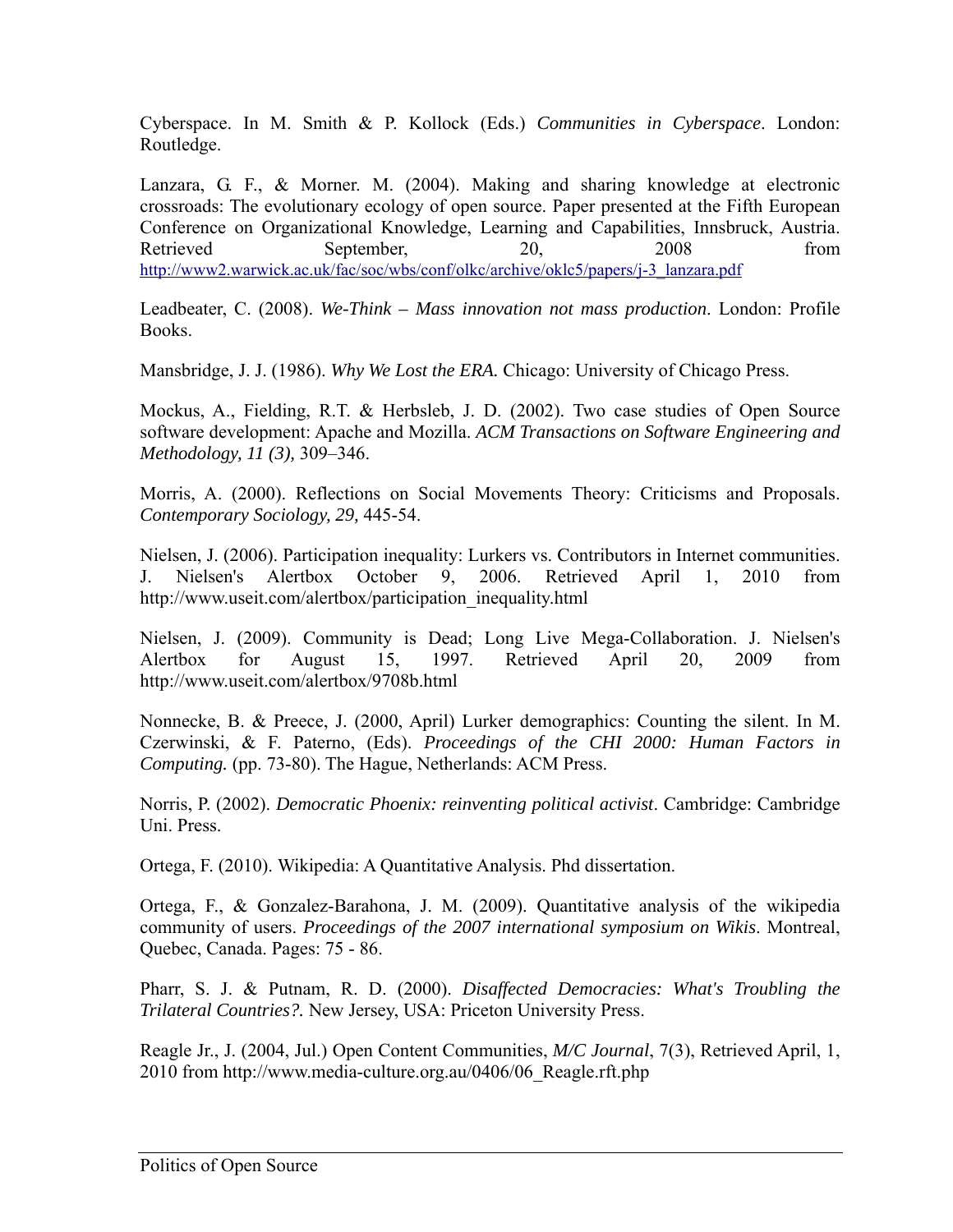Cyberspace. In M. Smith & P. Kollock (Eds.) *Communities in Cyberspace*. London: Routledge.

Lanzara, G. F., & Morner. M. (2004). Making and sharing knowledge at electronic crossroads: The evolutionary ecology of open source. Paper presented at the Fifth European Conference on Organizational Knowledge, Learning and Capabilities, Innsbruck, Austria. Retrieved September, 20, 2008 from http://www2.warwick.ac.uk/fac/soc/wbs/conf/olkc/archive/oklc5/papers/j-3\_lanzara.pdf

Leadbeater, C. (2008). *We-Think – Mass innovation not mass production*. London: Profile Books.

Mansbridge, J. J. (1986). *Why We Lost the ERA.* Chicago: University of Chicago Press.

Mockus, A., Fielding, R.T. & Herbsleb, J. D. (2002). Two case studies of Open Source software development: Apache and Mozilla. *ACM Transactions on Software Engineering and Methodology, 11 (3),* 309–346.

Morris, A. (2000). Reflections on Social Movements Theory: Criticisms and Proposals. *Contemporary Sociology, 29,* 445-54.

Nielsen, J. (2006). Participation inequality: Lurkers vs. Contributors in Internet communities. J. Nielsen's Alertbox October 9, 2006. Retrieved April 1, 2010 from http://www.useit.com/alertbox/participation\_inequality.html

Nielsen, J. (2009). Community is Dead; Long Live Mega-Collaboration. J. Nielsen's Alertbox for August 15, 1997. Retrieved April 20, 2009 from http://www.useit.com/alertbox/9708b.html

Nonnecke, B. & Preece, J. (2000, April) Lurker demographics: Counting the silent. In M. Czerwinski, & F. Paterno, (Eds). *Proceedings of the CHI 2000: Human Factors in Computing.* (pp. 73-80). The Hague, Netherlands: ACM Press.

Norris, P. (2002). *Democratic Phoenix: reinventing political activist*. Cambridge: Cambridge Uni. Press.

Ortega, F. (2010). Wikipedia: A Quantitative Analysis. Phd dissertation.

Ortega, F., & Gonzalez-Barahona, J. M. (2009). Quantitative analysis of the wikipedia community of users. *Proceedings of the 2007 international symposium on Wikis*. Montreal, Quebec, Canada. Pages: 75 - 86.

Pharr, S. J. & Putnam, R. D. (2000). *Disaffected Democracies: What's Troubling the Trilateral Countries?.* New Jersey, USA: Priceton University Press.

Reagle Jr., J. (2004, Jul.) Open Content Communities, *M/C Journal*, 7(3), Retrieved April, 1, 2010 from http://www.media-culture.org.au/0406/06\_Reagle.rft.php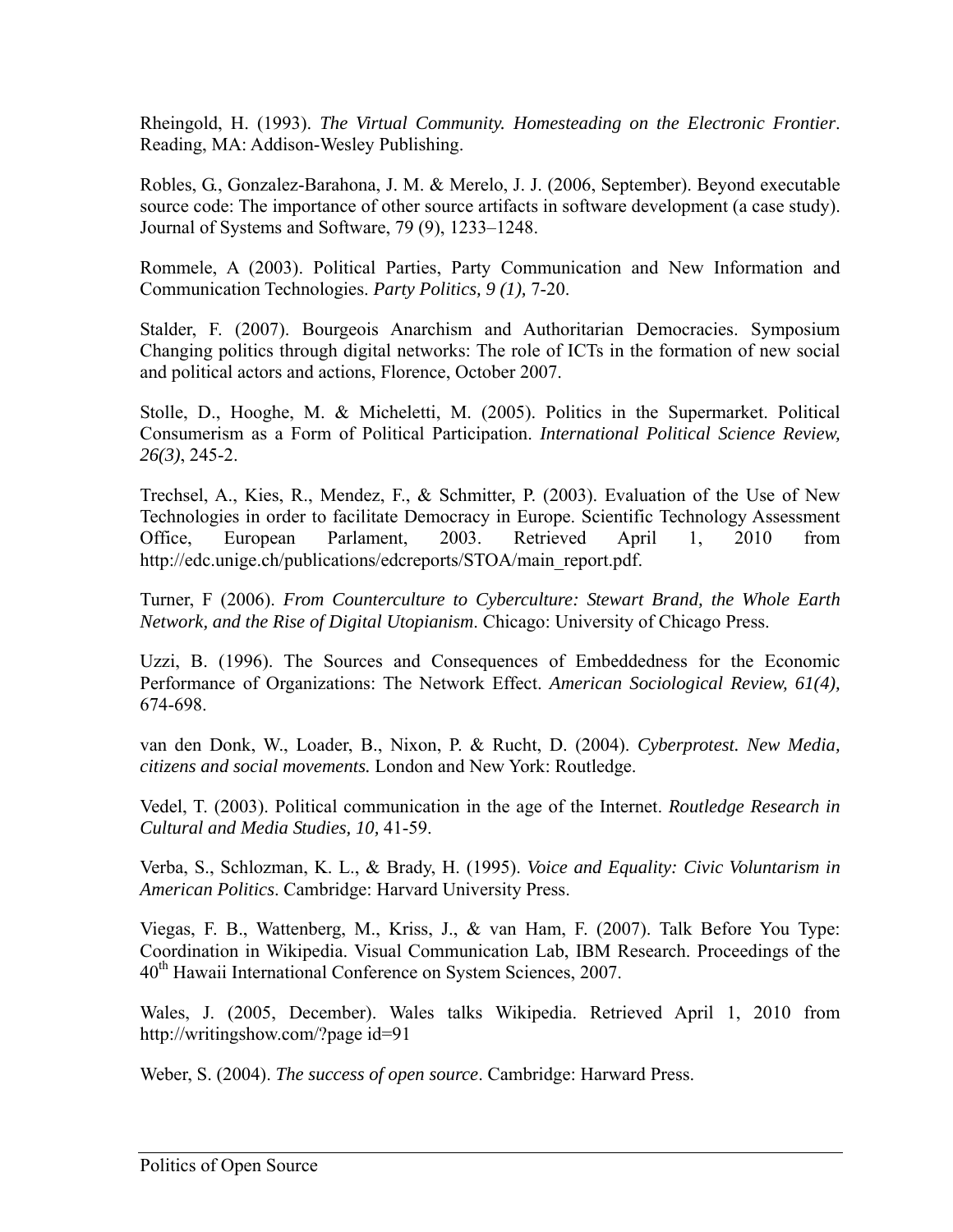Rheingold, H. (1993). *The Virtual Community. Homesteading on the Electronic Frontier*. Reading, MA: Addison-Wesley Publishing.

Robles, G., Gonzalez-Barahona, J. M. & Merelo, J. J. (2006, September). Beyond executable source code: The importance of other source artifacts in software development (a case study). Journal of Systems and Software, 79 (9), 1233–1248.

Rommele, A (2003). Political Parties, Party Communication and New Information and Communication Technologies. *Party Politics, 9 (1),* 7-20.

Stalder, F. (2007). Bourgeois Anarchism and Authoritarian Democracies. Symposium Changing politics through digital networks: The role of ICTs in the formation of new social and political actors and actions, Florence, October 2007.

Stolle, D., Hooghe, M. & Micheletti, M. (2005). Politics in the Supermarket. Political Consumerism as a Form of Political Participation. *International Political Science Review, 26(3)*, 245-2.

Trechsel, A., Kies, R., Mendez, F., & Schmitter, P. (2003). Evaluation of the Use of New Technologies in order to facilitate Democracy in Europe. Scientific Technology Assessment Office, European Parlament, 2003. Retrieved April 1, 2010 from http://edc.unige.ch/publications/edcreports/STOA/main\_report.pdf.

Turner, F (2006). *From Counterculture to Cyberculture: Stewart Brand, the Whole Earth Network, and the Rise of Digital Utopianism*. Chicago: University of Chicago Press.

Uzzi, B. (1996). The Sources and Consequences of Embeddedness for the Economic Performance of Organizations: The Network Effect. *American Sociological Review, 61(4),* 674-698.

van den Donk, W., Loader, B., Nixon, P. & Rucht, D. (2004). *Cyberprotest. New Media, citizens and social movements.* London and New York: Routledge.

Vedel, T. (2003). Political communication in the age of the Internet. *Routledge Research in Cultural and Media Studies, 10,* 41-59.

Verba, S., Schlozman, K. L., & Brady, H. (1995). *Voice and Equality: Civic Voluntarism in American Politics*. Cambridge: Harvard University Press.

Viegas, F. B., Wattenberg, M., Kriss, J., & van Ham, F. (2007). Talk Before You Type: Coordination in Wikipedia. Visual Communication Lab, IBM Research. Proceedings of the 40<sup>th</sup> Hawaii International Conference on System Sciences, 2007.

Wales, J. (2005, December). Wales talks Wikipedia. Retrieved April 1, 2010 from http://writingshow.com/?page id=91

Weber, S. (2004). *The success of open source*. Cambridge: Harward Press.